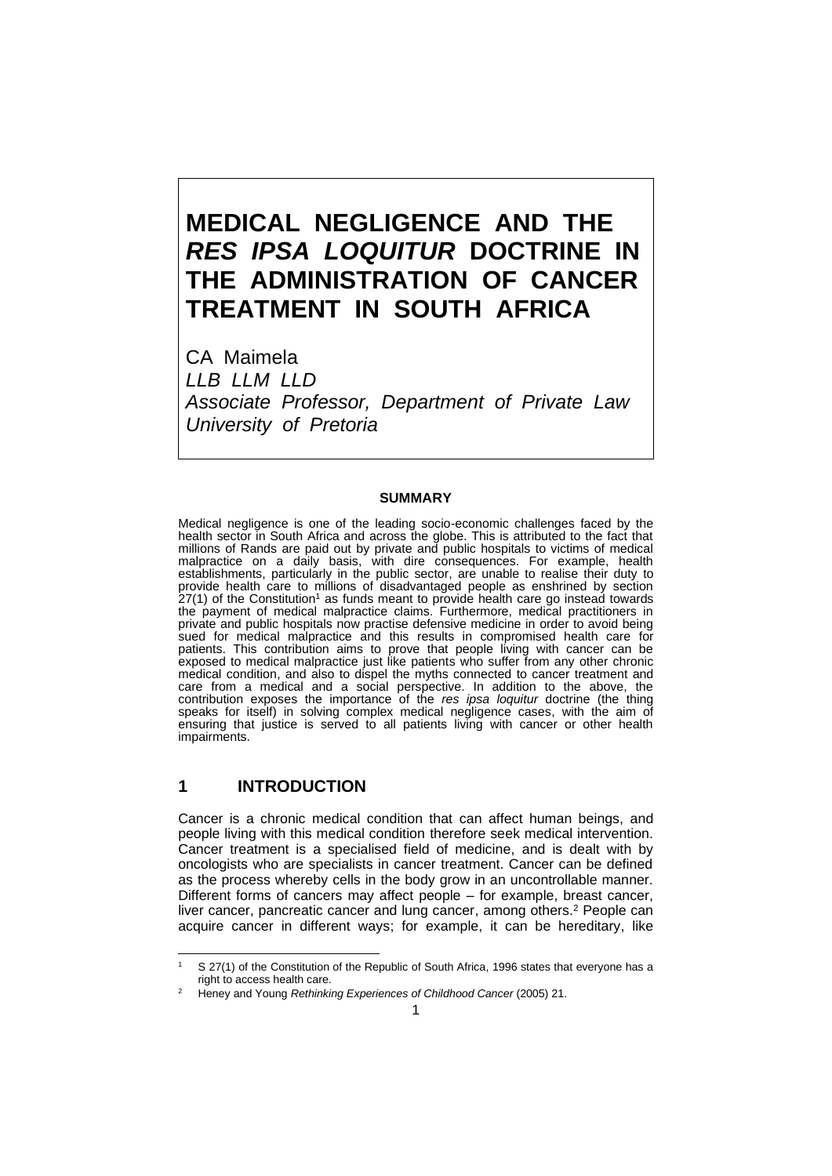# **MEDICAL NEGLIGENCE AND THE** *RES IPSA LOQUITUR* **DOCTRINE IN THE ADMINISTRATION OF CANCER TREATMENT IN SOUTH AFRICA**

CA Maimela *LLB LLM LLD Associate Professor, Department of Private Law University of Pretoria*

#### **SUMMARY**

Medical negligence is one of the leading socio-economic challenges faced by the health sector in South Africa and across the globe. This is attributed to the fact that millions of Rands are paid out by private and public hospitals to victims of medical malpractice on a daily basis, with dire consequences. For example, health establishments, particularly in the public sector, are unable to realise their duty to provide health care to millions of disadvantaged people as enshrined by section  $27(1)$  of the Constitution<sup>1</sup> as funds meant to provide health care go instead towards the payment of medical malpractice claims. Furthermore, medical practitioners in private and public hospitals now practise defensive medicine in order to avoid being sued for medical malpractice and this results in compromised health care for patients. This contribution aims to prove that people living with cancer can be exposed to medical malpractice just like patients who suffer from any other chronic medical condition, and also to dispel the myths connected to cancer treatment and care from a medical and a social perspective. In addition to the above, the contribution exposes the importance of the *res ipsa loquitur* doctrine (the thing speaks for itself) in solving complex medical negligence cases, with the aim of ensuring that justice is served to all patients living with cancer or other health impairments.

## **1 INTRODUCTION**

Cancer is a chronic medical condition that can affect human beings, and people living with this medical condition therefore seek medical intervention. Cancer treatment is a specialised field of medicine, and is dealt with by oncologists who are specialists in cancer treatment. Cancer can be defined as the process whereby cells in the body grow in an uncontrollable manner. Different forms of cancers may affect people – for example, breast cancer, liver cancer, pancreatic cancer and lung cancer, among others.<sup>2</sup> People can acquire cancer in different ways; for example, it can be hereditary, like

S 27(1) of the Constitution of the Republic of South Africa, 1996 states that everyone has a right to access health care.

<sup>2</sup> Heney and Young *Rethinking Experiences of Childhood Cancer* (2005) 21.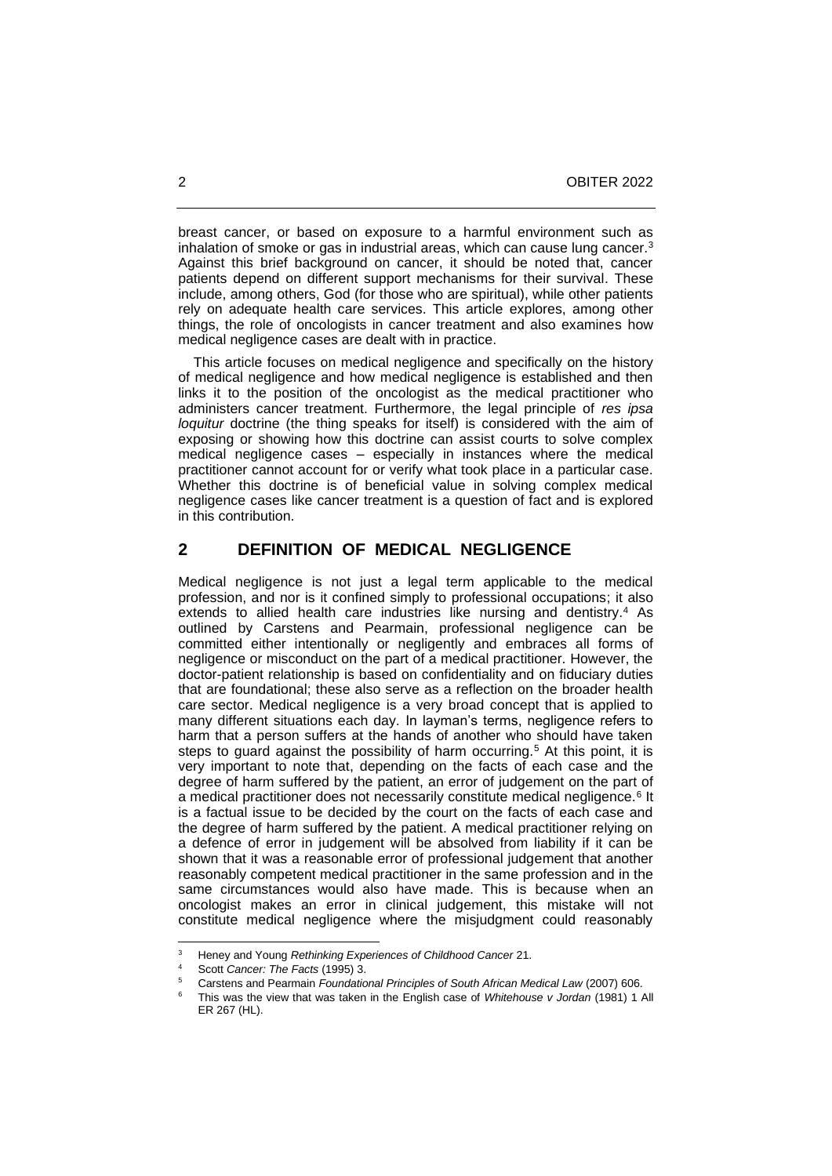breast cancer, or based on exposure to a harmful environment such as inhalation of smoke or gas in industrial areas, which can cause lung cancer.<sup>3</sup> Against this brief background on cancer, it should be noted that, cancer patients depend on different support mechanisms for their survival. These include, among others, God (for those who are spiritual), while other patients rely on adequate health care services. This article explores, among other things, the role of oncologists in cancer treatment and also examines how medical negligence cases are dealt with in practice.

 This article focuses on medical negligence and specifically on the history of medical negligence and how medical negligence is established and then links it to the position of the oncologist as the medical practitioner who administers cancer treatment. Furthermore, the legal principle of *res ipsa loquitur* doctrine (the thing speaks for itself) is considered with the aim of exposing or showing how this doctrine can assist courts to solve complex medical negligence cases – especially in instances where the medical practitioner cannot account for or verify what took place in a particular case. Whether this doctrine is of beneficial value in solving complex medical negligence cases like cancer treatment is a question of fact and is explored in this contribution.

## **2 DEFINITION OF MEDICAL NEGLIGENCE**

Medical negligence is not just a legal term applicable to the medical profession, and nor is it confined simply to professional occupations; it also extends to allied health care industries like nursing and dentistry.<sup>4</sup> As outlined by Carstens and Pearmain, professional negligence can be committed either intentionally or negligently and embraces all forms of negligence or misconduct on the part of a medical practitioner. However, the doctor-patient relationship is based on confidentiality and on fiduciary duties that are foundational; these also serve as a reflection on the broader health care sector. Medical negligence is a very broad concept that is applied to many different situations each day. In layman's terms, negligence refers to harm that a person suffers at the hands of another who should have taken steps to guard against the possibility of harm occurring.<sup>5</sup> At this point, it is very important to note that, depending on the facts of each case and the degree of harm suffered by the patient, an error of judgement on the part of a medical practitioner does not necessarily constitute medical negligence.<sup>6</sup> It is a factual issue to be decided by the court on the facts of each case and the degree of harm suffered by the patient. A medical practitioner relying on a defence of error in judgement will be absolved from liability if it can be shown that it was a reasonable error of professional judgement that another reasonably competent medical practitioner in the same profession and in the same circumstances would also have made. This is because when an oncologist makes an error in clinical judgement, this mistake will not constitute medical negligence where the misjudgment could reasonably

<sup>3</sup> Heney and Young *Rethinking Experiences of Childhood Cancer* 21.

<sup>4</sup> Scott *Cancer: The Facts* (1995) 3.

<sup>5</sup> Carstens and Pearmain *Foundational Principles of South African Medical Law* (2007) 606.

<sup>6</sup> This was the view that was taken in the English case of *Whitehouse v Jordan* (1981) 1 All ER 267 (HL).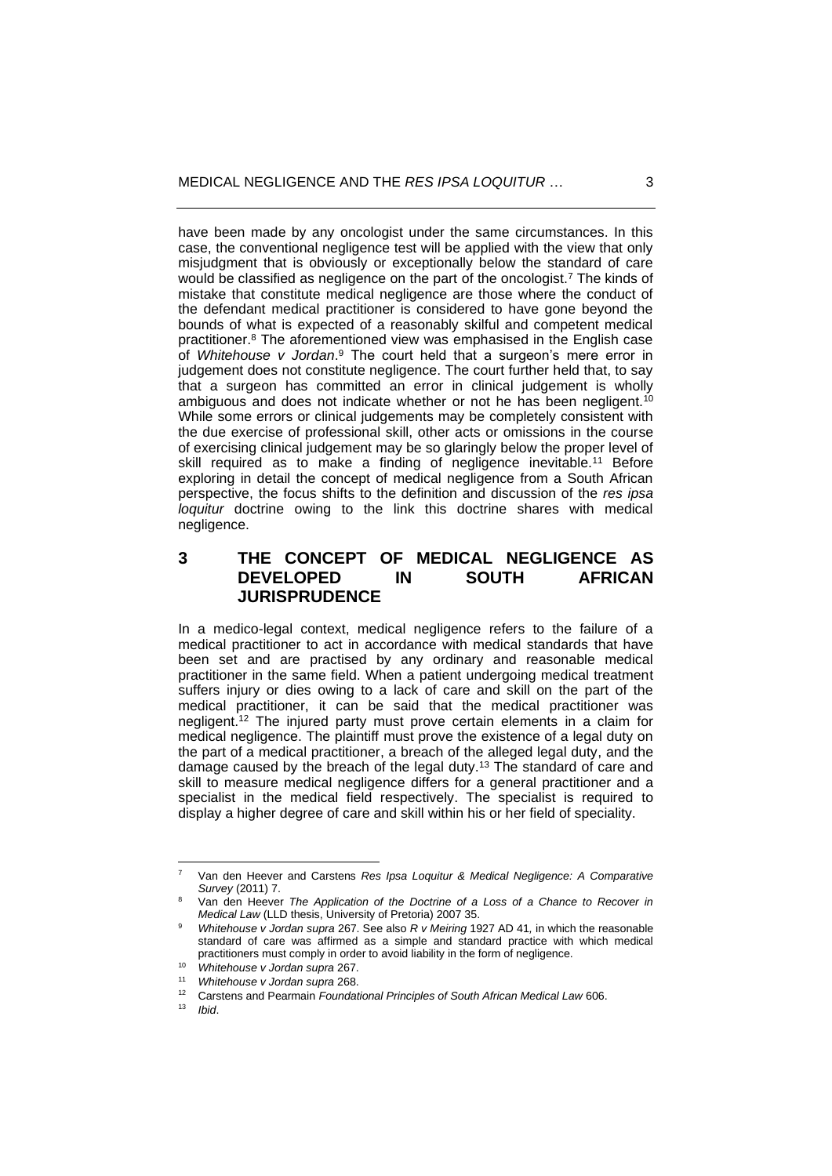have been made by any oncologist under the same circumstances. In this case, the conventional negligence test will be applied with the view that only misjudgment that is obviously or exceptionally below the standard of care would be classified as negligence on the part of the oncologist.<sup>7</sup> The kinds of mistake that constitute medical negligence are those where the conduct of the defendant medical practitioner is considered to have gone beyond the bounds of what is expected of a reasonably skilful and competent medical practitioner.<sup>8</sup> The aforementioned view was emphasised in the English case of *Whitehouse v Jordan*. <sup>9</sup> The court held that a surgeon's mere error in judgement does not constitute negligence. The court further held that, to say that a surgeon has committed an error in clinical judgement is wholly ambiguous and does not indicate whether or not he has been negligent.<sup>10</sup> While some errors or clinical judgements may be completely consistent with the due exercise of professional skill, other acts or omissions in the course of exercising clinical judgement may be so glaringly below the proper level of skill required as to make a finding of negligence inevitable.<sup>11</sup> Before exploring in detail the concept of medical negligence from a South African perspective, the focus shifts to the definition and discussion of the *res ipsa loquitur* doctrine owing to the link this doctrine shares with medical negligence.

# **3 THE CONCEPT OF MEDICAL NEGLIGENCE AS DEVELOPED IN SOUTH AFRICAN JURISPRUDENCE**

In a medico-legal context, medical negligence refers to the failure of a medical practitioner to act in accordance with medical standards that have been set and are practised by any ordinary and reasonable medical practitioner in the same field. When a patient undergoing medical treatment suffers injury or dies owing to a lack of care and skill on the part of the medical practitioner, it can be said that the medical practitioner was negligent.<sup>12</sup> The injured party must prove certain elements in a claim for medical negligence. The plaintiff must prove the existence of a legal duty on the part of a medical practitioner, a breach of the alleged legal duty, and the damage caused by the breach of the legal duty.<sup>13</sup> The standard of care and skill to measure medical negligence differs for a general practitioner and a specialist in the medical field respectively. The specialist is required to display a higher degree of care and skill within his or her field of speciality.

<sup>7</sup> Van den Heever and Carstens *Res Ipsa Loquitur & Medical Negligence: A Comparative Survey* (2011) 7.

<sup>8</sup> Van den Heever *The Application of the Doctrine of a Loss of a Chance to Recover in Medical Law* (LLD thesis, University of Pretoria) 2007 35.

<sup>9</sup> *Whitehouse v Jordan supra* 267. See also *R v Meiring* 1927 AD 41*,* in which the reasonable standard of care was affirmed as a simple and standard practice with which medical practitioners must comply in order to avoid liability in the form of negligence.

<sup>10</sup> *Whitehouse v Jordan supra* 267.

<sup>11</sup> *Whitehouse v Jordan supra* 268.

<sup>&</sup>lt;sup>12</sup> Carstens and Pearmain *Foundational Principles of South African Medical Law* 606.

<sup>13</sup> *Ibid*.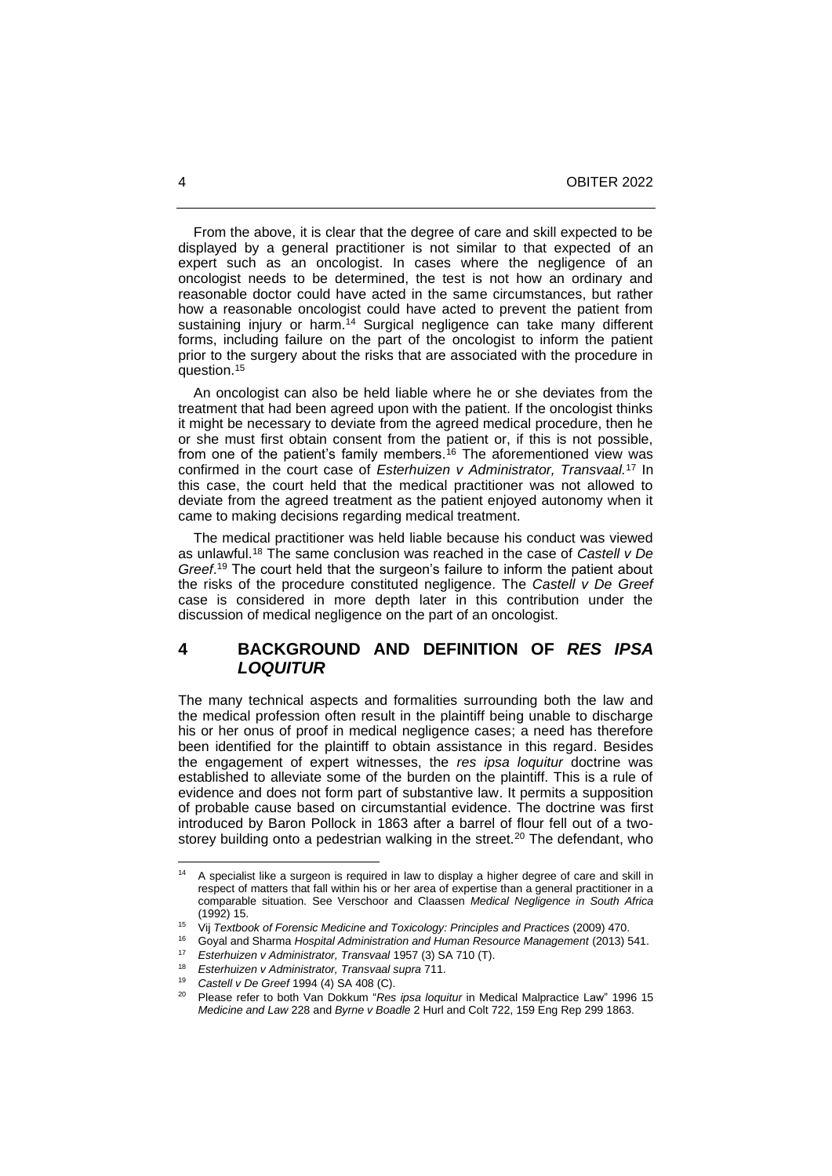From the above, it is clear that the degree of care and skill expected to be displayed by a general practitioner is not similar to that expected of an expert such as an oncologist. In cases where the negligence of an oncologist needs to be determined, the test is not how an ordinary and reasonable doctor could have acted in the same circumstances, but rather how a reasonable oncologist could have acted to prevent the patient from sustaining injury or harm.<sup>14</sup> Surgical negligence can take many different forms, including failure on the part of the oncologist to inform the patient prior to the surgery about the risks that are associated with the procedure in question.<sup>15</sup>

 An oncologist can also be held liable where he or she deviates from the treatment that had been agreed upon with the patient. If the oncologist thinks it might be necessary to deviate from the agreed medical procedure, then he or she must first obtain consent from the patient or, if this is not possible, from one of the patient's family members.<sup>16</sup> The aforementioned view was confirmed in the court case of *Esterhuizen v Administrator, Transvaal.*<sup>17</sup> In this case, the court held that the medical practitioner was not allowed to deviate from the agreed treatment as the patient enjoyed autonomy when it came to making decisions regarding medical treatment.

 The medical practitioner was held liable because his conduct was viewed as unlawful.<sup>18</sup> The same conclusion was reached in the case of *Castell v De Greef*. <sup>19</sup> The court held that the surgeon's failure to inform the patient about the risks of the procedure constituted negligence. The *Castell v De Greef* case is considered in more depth later in this contribution under the discussion of medical negligence on the part of an oncologist.

# **4 BACKGROUND AND DEFINITION OF** *RES IPSA LOQUITUR*

The many technical aspects and formalities surrounding both the law and the medical profession often result in the plaintiff being unable to discharge his or her onus of proof in medical negligence cases; a need has therefore been identified for the plaintiff to obtain assistance in this regard. Besides the engagement of expert witnesses, the *res ipsa loquitur* doctrine was established to alleviate some of the burden on the plaintiff. This is a rule of evidence and does not form part of substantive law. It permits a supposition of probable cause based on circumstantial evidence. The doctrine was first introduced by Baron Pollock in 1863 after a barrel of flour fell out of a twostorey building onto a pedestrian walking in the street.<sup>20</sup> The defendant, who

<sup>&</sup>lt;sup>14</sup> A specialist like a surgeon is required in law to display a higher degree of care and skill in respect of matters that fall within his or her area of expertise than a general practitioner in a comparable situation. See Verschoor and Claassen *Medical Negligence in South Africa* (1992) 15.

<sup>15</sup> Vij *Textbook of Forensic Medicine and Toxicology: Principles and Practices* (2009) 470.

<sup>16</sup> Goyal and Sharma *Hospital Administration and Human Resource Management* (2013) 541.

<sup>17</sup> *Esterhuizen v Administrator, Transvaal* 1957 (3) SA 710 (T).

<sup>18</sup> *Esterhuizen v Administrator, Transvaal supra* 711.

<sup>19</sup> *Castell v De Greef* 1994 (4) SA 408 (C).

<sup>20</sup> Please refer to both Van Dokkum "*Res ipsa loquitur* in Medical Malpractice Law" 1996 15 *Medicine and Law* 228 and *Byrne v Boadle* 2 Hurl and Colt 722, 159 Eng Rep 299 1863.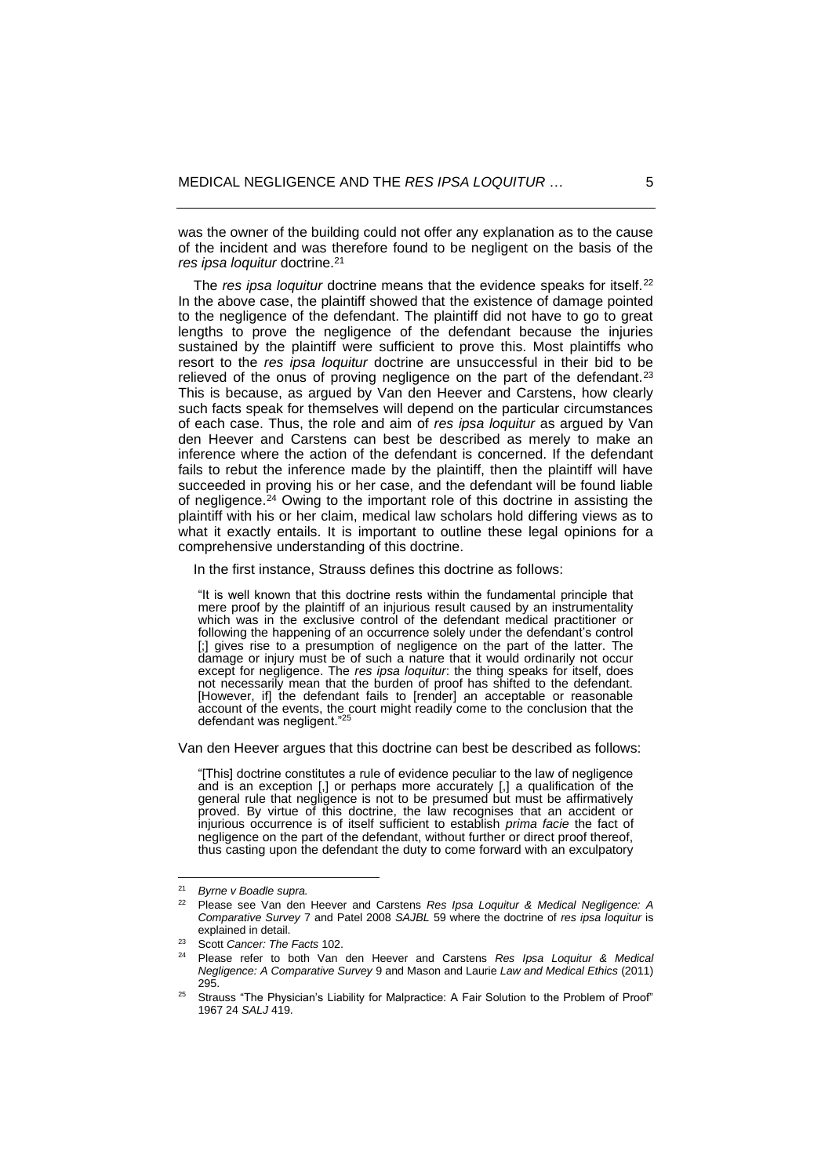was the owner of the building could not offer any explanation as to the cause of the incident and was therefore found to be negligent on the basis of the *res ipsa loquitur* doctrine.<sup>21</sup>

The *res ipsa loquitur* doctrine means that the evidence speaks for itself.<sup>22</sup> In the above case, the plaintiff showed that the existence of damage pointed to the negligence of the defendant. The plaintiff did not have to go to great lengths to prove the negligence of the defendant because the injuries sustained by the plaintiff were sufficient to prove this. Most plaintiffs who resort to the *res ipsa loquitur* doctrine are unsuccessful in their bid to be relieved of the onus of proving negligence on the part of the defendant.<sup>23</sup> This is because, as argued by Van den Heever and Carstens, how clearly such facts speak for themselves will depend on the particular circumstances of each case. Thus, the role and aim of *res ipsa loquitur* as argued by Van den Heever and Carstens can best be described as merely to make an inference where the action of the defendant is concerned. If the defendant fails to rebut the inference made by the plaintiff, then the plaintiff will have succeeded in proving his or her case, and the defendant will be found liable of negligence.<sup>24</sup> Owing to the important role of this doctrine in assisting the plaintiff with his or her claim, medical law scholars hold differing views as to what it exactly entails. It is important to outline these legal opinions for a comprehensive understanding of this doctrine.

In the first instance, Strauss defines this doctrine as follows:

"It is well known that this doctrine rests within the fundamental principle that mere proof by the plaintiff of an injurious result caused by an instrumentality which was in the exclusive control of the defendant medical practitioner or following the happening of an occurrence solely under the defendant's control [;] gives rise to a presumption of negligence on the part of the latter. The damage or injury must be of such a nature that it would ordinarily not occur except for negligence. The *res ipsa loquitur*: the thing speaks for itself, does not necessarily mean that the burden of proof has shifted to the defendant. [However, if] the defendant fails to [render] an acceptable or reasonable account of the events, the court might readily come to the conclusion that the defendant was negligent." $2^5$ 

Van den Heever argues that this doctrine can best be described as follows:

"[This] doctrine constitutes a rule of evidence peculiar to the law of negligence and is an exception [,] or perhaps more accurately [,] a qualification of the general rule that negligence is not to be presumed but must be affirmatively proved. By virtue of this doctrine, the law recognises that an accident or injurious occurrence is of itself sufficient to establish *prima facie* the fact of negligence on the part of the defendant, without further or direct proof thereof, thus casting upon the defendant the duty to come forward with an exculpatory

<sup>21</sup> *Byrne v Boadle supra.*

<sup>22</sup> Please see Van den Heever and Carstens *Res Ipsa Loquitur & Medical Negligence: A Comparative Survey* 7 and Patel 2008 *SAJBL* 59 where the doctrine of *res ipsa loquitur* is explained in detail.

<sup>23</sup> Scott *Cancer: The Facts* 102.

<sup>24</sup> Please refer to both Van den Heever and Carstens *Res Ipsa Loquitur & Medical Negligence: A Comparative Survey* 9 and Mason and Laurie *Law and Medical Ethics* (2011) 295.

<sup>25</sup> Strauss "The Physician's Liability for Malpractice: A Fair Solution to the Problem of Proof" 1967 24 *SALJ* 419.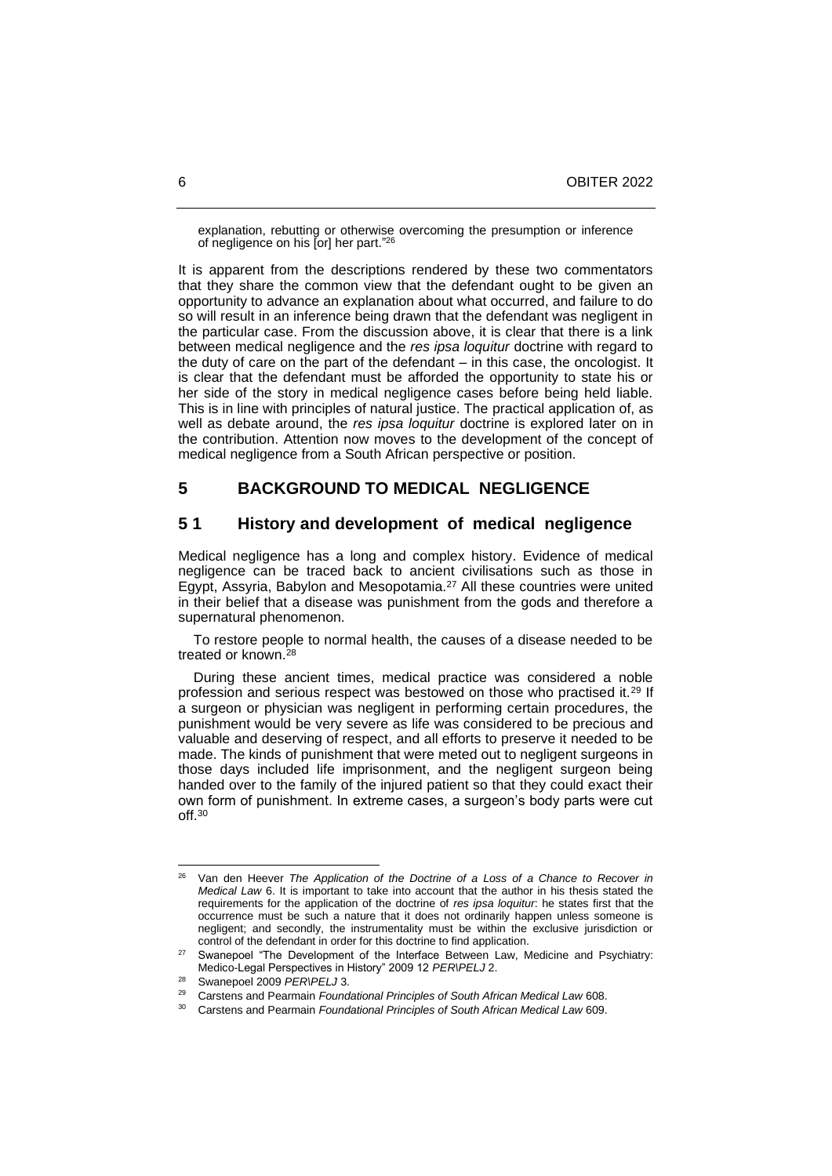explanation, rebutting or otherwise overcoming the presumption or inference of negligence on his [or] her part."<sup>26</sup>

It is apparent from the descriptions rendered by these two commentators that they share the common view that the defendant ought to be given an opportunity to advance an explanation about what occurred, and failure to do so will result in an inference being drawn that the defendant was negligent in the particular case. From the discussion above, it is clear that there is a link between medical negligence and the *res ipsa loquitur* doctrine with regard to the duty of care on the part of the defendant – in this case, the oncologist. It is clear that the defendant must be afforded the opportunity to state his or her side of the story in medical negligence cases before being held liable. This is in line with principles of natural justice. The practical application of, as well as debate around, the *res ipsa loquitur* doctrine is explored later on in the contribution. Attention now moves to the development of the concept of medical negligence from a South African perspective or position.

# **5 BACKGROUND TO MEDICAL NEGLIGENCE**

#### **5 1 History and development of medical negligence**

Medical negligence has a long and complex history. Evidence of medical negligence can be traced back to ancient civilisations such as those in Egypt, Assyria, Babylon and Mesopotamia.<sup>27</sup> All these countries were united in their belief that a disease was punishment from the gods and therefore a supernatural phenomenon.

 To restore people to normal health, the causes of a disease needed to be treated or known.<sup>28</sup>

 During these ancient times, medical practice was considered a noble profession and serious respect was bestowed on those who practised it.<sup>29</sup> If a surgeon or physician was negligent in performing certain procedures, the punishment would be very severe as life was considered to be precious and valuable and deserving of respect, and all efforts to preserve it needed to be made. The kinds of punishment that were meted out to negligent surgeons in those days included life imprisonment, and the negligent surgeon being handed over to the family of the injured patient so that they could exact their own form of punishment. In extreme cases, a surgeon's body parts were cut off.<sup>30</sup>

<sup>26</sup> Van den Heever *The Application of the Doctrine of a Loss of a Chance to Recover in Medical Law* 6. It is important to take into account that the author in his thesis stated the requirements for the application of the doctrine of *res ipsa loquitur*: he states first that the occurrence must be such a nature that it does not ordinarily happen unless someone is negligent; and secondly, the instrumentality must be within the exclusive jurisdiction or control of the defendant in order for this doctrine to find application.

Swanepoel "The Development of the Interface Between Law, Medicine and Psychiatry: Medico-Legal Perspectives in History" 2009 12 *PER\PELJ* 2.

Swanepoel 2009 PER\PELJ 3.

<sup>29</sup> Carstens and Pearmain *Foundational Principles of South African Medical Law* 608.

<sup>30</sup> Carstens and Pearmain *Foundational Principles of South African Medical Law* 609.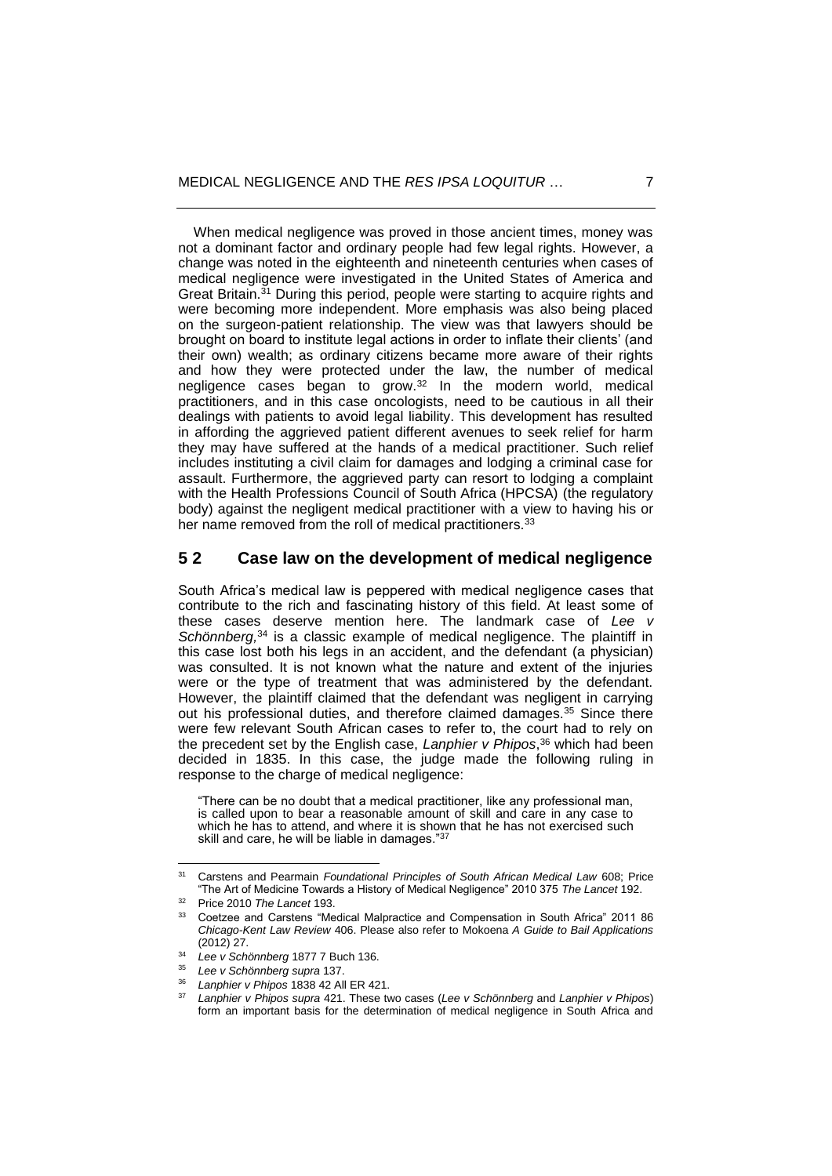When medical negligence was proved in those ancient times, money was not a dominant factor and ordinary people had few legal rights. However, a change was noted in the eighteenth and nineteenth centuries when cases of medical negligence were investigated in the United States of America and Great Britain.<sup>31</sup> During this period, people were starting to acquire rights and were becoming more independent. More emphasis was also being placed on the surgeon-patient relationship. The view was that lawyers should be brought on board to institute legal actions in order to inflate their clients' (and their own) wealth; as ordinary citizens became more aware of their rights and how they were protected under the law, the number of medical negligence cases began to grow.<sup>32</sup> In the modern world, medical practitioners, and in this case oncologists, need to be cautious in all their dealings with patients to avoid legal liability. This development has resulted in affording the aggrieved patient different avenues to seek relief for harm they may have suffered at the hands of a medical practitioner. Such relief includes instituting a civil claim for damages and lodging a criminal case for assault. Furthermore, the aggrieved party can resort to lodging a complaint with the Health Professions Council of South Africa (HPCSA) (the regulatory body) against the negligent medical practitioner with a view to having his or her name removed from the roll of medical practitioners.<sup>33</sup>

## **5 2 Case law on the development of medical negligence**

South Africa's medical law is peppered with medical negligence cases that contribute to the rich and fascinating history of this field. At least some of these cases deserve mention here. The landmark case of *Lee v* Schönnberg,<sup>34</sup> is a classic example of medical negligence. The plaintiff in this case lost both his legs in an accident, and the defendant (a physician) was consulted. It is not known what the nature and extent of the injuries were or the type of treatment that was administered by the defendant. However, the plaintiff claimed that the defendant was negligent in carrying out his professional duties, and therefore claimed damages.<sup>35</sup> Since there were few relevant South African cases to refer to, the court had to rely on the precedent set by the English case, *Lanphier v Phipos*, <sup>36</sup> which had been decided in 1835. In this case, the judge made the following ruling in response to the charge of medical negligence:

"There can be no doubt that a medical practitioner, like any professional man, is called upon to bear a reasonable amount of skill and care in any case to which he has to attend, and where it is shown that he has not exercised such skill and care, he will be liable in damages."<sup>37</sup>

<sup>31</sup> Carstens and Pearmain *Foundational Principles of South African Medical Law* 608; Price "The Art of Medicine Towards a History of Medical Negligence" 2010 375 *The Lancet* 192.

<sup>32</sup> Price 2010 *The Lancet* 193.

<sup>33</sup> Coetzee and Carstens "Medical Malpractice and Compensation in South Africa" 2011 86 *Chicago-Kent Law Review* 406. Please also refer to Mokoena *A Guide to Bail Applications* (2012) 27.

<sup>34</sup> *Lee v Schönnberg* 1877 7 Buch 136.

<sup>35</sup> *Lee v Schönnberg supra* 137.

<sup>36</sup> *Lanphier v Phipos* 1838 42 All ER 421.

<sup>37</sup> *Lanphier v Phipos supra* 421. These two cases (*Lee v Schönnberg* and *Lanphier v Phipos*) form an important basis for the determination of medical negligence in South Africa and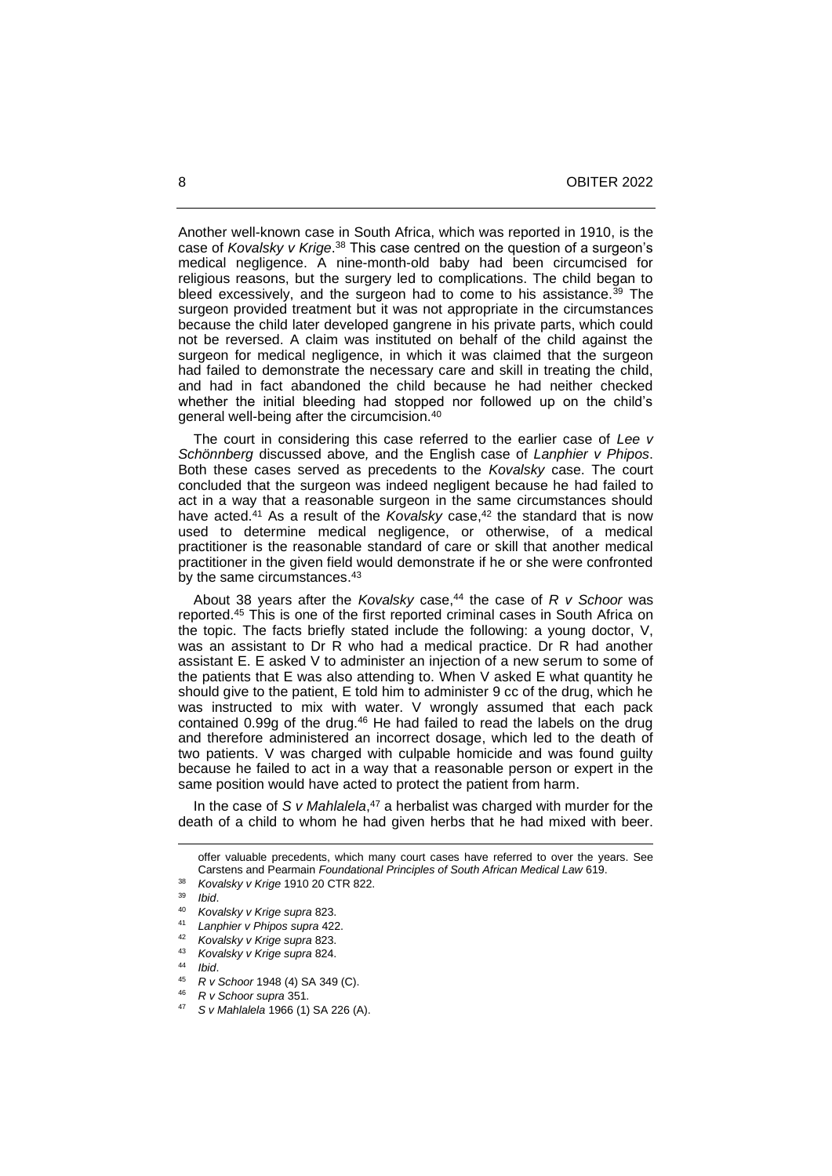Another well-known case in South Africa, which was reported in 1910, is the case of *Kovalsky v Krige*.<sup>38</sup> This case centred on the question of a surgeon's medical negligence. A nine-month-old baby had been circumcised for religious reasons, but the surgery led to complications. The child began to bleed excessively, and the surgeon had to come to his assistance.<sup>39</sup> The surgeon provided treatment but it was not appropriate in the circumstances because the child later developed gangrene in his private parts, which could not be reversed. A claim was instituted on behalf of the child against the surgeon for medical negligence, in which it was claimed that the surgeon had failed to demonstrate the necessary care and skill in treating the child, and had in fact abandoned the child because he had neither checked whether the initial bleeding had stopped nor followed up on the child's general well-being after the circumcision.<sup>40</sup>

 The court in considering this case referred to the earlier case of *Lee v Schönnberg* discussed above*,* and the English case of *Lanphier v Phipos*. Both these cases served as precedents to the *Kovalsky* case. The court concluded that the surgeon was indeed negligent because he had failed to act in a way that a reasonable surgeon in the same circumstances should have acted.<sup>41</sup> As a result of the *Kovalsky* case,<sup>42</sup> the standard that is now used to determine medical negligence, or otherwise, of a medical practitioner is the reasonable standard of care or skill that another medical practitioner in the given field would demonstrate if he or she were confronted by the same circumstances.<sup>43</sup>

About 38 years after the *Kovalsky* case,<sup>44</sup> the case of *R v Schoor* was reported.<sup>45</sup> This is one of the first reported criminal cases in South Africa on the topic. The facts briefly stated include the following: a young doctor, V, was an assistant to Dr R who had a medical practice. Dr R had another assistant E. E asked V to administer an injection of a new serum to some of the patients that E was also attending to. When V asked E what quantity he should give to the patient, E told him to administer 9 cc of the drug, which he was instructed to mix with water. V wrongly assumed that each pack contained 0.99g of the drug.<sup>46</sup> He had failed to read the labels on the drug and therefore administered an incorrect dosage, which led to the death of two patients. V was charged with culpable homicide and was found guilty because he failed to act in a way that a reasonable person or expert in the same position would have acted to protect the patient from harm.

In the case of *S v Mahlalela*,<sup>47</sup> a herbalist was charged with murder for the death of a child to whom he had given herbs that he had mixed with beer.

offer valuable precedents, which many court cases have referred to over the years. See Carstens and Pearmain *Foundational Principles of South African Medical Law* 619.

<sup>38</sup> *Kovalsky v Krige* 1910 20 CTR 822.

<sup>39</sup> *Ibid*.

<sup>40</sup> *Kovalsky v Krige supra* 823.

<sup>41</sup> *Lanphier v Phipos supra* 422.

<sup>42</sup> *Kovalsky v Krige supra* 823.

<sup>43</sup> *Kovalsky v Krige supra* 824.

<sup>44</sup> *Ibid*.

<sup>45</sup> *R v Schoor* 1948 (4) SA 349 (C).

<sup>46</sup> *R v Schoor supra* 351.

<sup>47</sup> *S v Mahlalela* 1966 (1) SA 226 (A).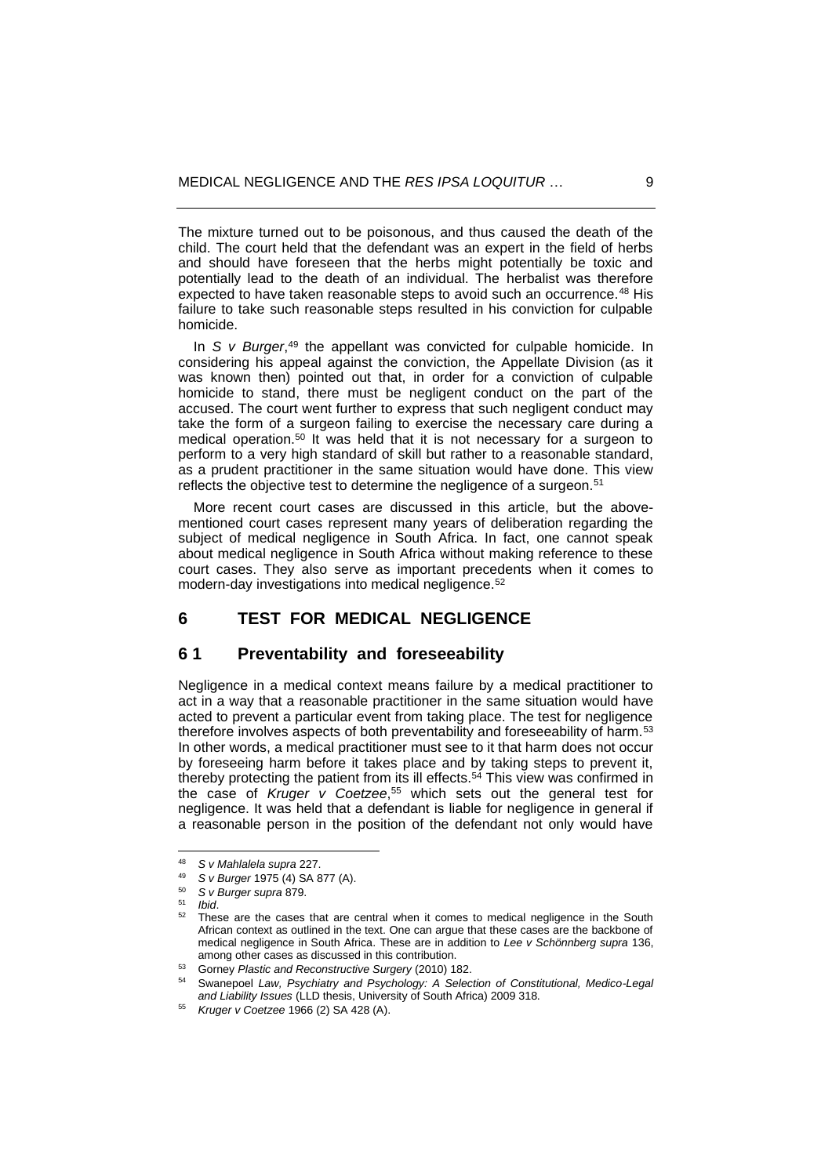The mixture turned out to be poisonous, and thus caused the death of the child. The court held that the defendant was an expert in the field of herbs and should have foreseen that the herbs might potentially be toxic and potentially lead to the death of an individual. The herbalist was therefore expected to have taken reasonable steps to avoid such an occurrence.<sup>48</sup> His failure to take such reasonable steps resulted in his conviction for culpable homicide.

In *S v Burger*,<sup>49</sup> the appellant was convicted for culpable homicide. In considering his appeal against the conviction, the Appellate Division (as it was known then) pointed out that, in order for a conviction of culpable homicide to stand, there must be negligent conduct on the part of the accused. The court went further to express that such negligent conduct may take the form of a surgeon failing to exercise the necessary care during a medical operation.<sup>50</sup> It was held that it is not necessary for a surgeon to perform to a very high standard of skill but rather to a reasonable standard, as a prudent practitioner in the same situation would have done. This view reflects the objective test to determine the negligence of a surgeon.<sup>51</sup>

 More recent court cases are discussed in this article, but the abovementioned court cases represent many years of deliberation regarding the subject of medical negligence in South Africa. In fact, one cannot speak about medical negligence in South Africa without making reference to these court cases. They also serve as important precedents when it comes to modern-day investigations into medical negligence.<sup>52</sup>

## **6 TEST FOR MEDICAL NEGLIGENCE**

## **6 1 Preventability and foreseeability**

Negligence in a medical context means failure by a medical practitioner to act in a way that a reasonable practitioner in the same situation would have acted to prevent a particular event from taking place. The test for negligence therefore involves aspects of both preventability and foreseeability of harm.<sup>53</sup> In other words, a medical practitioner must see to it that harm does not occur by foreseeing harm before it takes place and by taking steps to prevent it, thereby protecting the patient from its ill effects.<sup>54</sup> This view was confirmed in the case of *Kruger v Coetzee*, <sup>55</sup> which sets out the general test for negligence. It was held that a defendant is liable for negligence in general if a reasonable person in the position of the defendant not only would have

<sup>48</sup> *S v Mahlalela supra* 227.

<sup>49</sup> *S v Burger* 1975 (4) SA 877 (A).

<sup>50</sup> *S v Burger supra* 879.

<sup>51</sup> *Ibid*.

These are the cases that are central when it comes to medical negligence in the South African context as outlined in the text. One can argue that these cases are the backbone of medical negligence in South Africa. These are in addition to *Lee v Schönnberg supra* 136, among other cases as discussed in this contribution.

<sup>53</sup> Gorney *Plastic and Reconstructive Surgery* (2010) 182.

<sup>54</sup> Swanepoel *Law, Psychiatry and Psychology: A Selection of Constitutional, Medico-Legal and Liability Issues* (LLD thesis, University of South Africa) 2009 318.

<sup>55</sup> *Kruger v Coetzee* 1966 (2) SA 428 (A).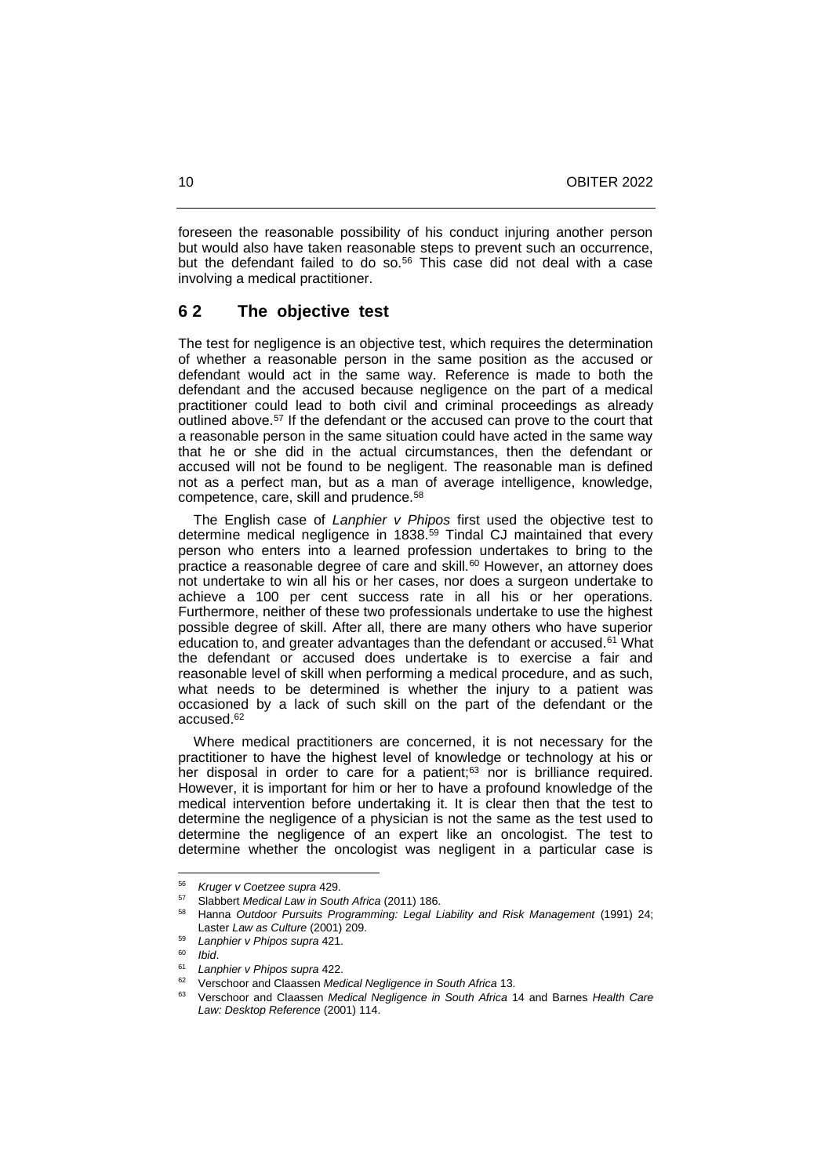foreseen the reasonable possibility of his conduct injuring another person but would also have taken reasonable steps to prevent such an occurrence, but the defendant failed to do so.<sup>56</sup> This case did not deal with a case involving a medical practitioner.

#### **6 2 The objective test**

The test for negligence is an objective test, which requires the determination of whether a reasonable person in the same position as the accused or defendant would act in the same way. Reference is made to both the defendant and the accused because negligence on the part of a medical practitioner could lead to both civil and criminal proceedings as already outlined above.<sup>57</sup> If the defendant or the accused can prove to the court that a reasonable person in the same situation could have acted in the same way that he or she did in the actual circumstances, then the defendant or accused will not be found to be negligent. The reasonable man is defined not as a perfect man, but as a man of average intelligence, knowledge, competence, care, skill and prudence.<sup>58</sup>

 The English case of *Lanphier v Phipos* first used the objective test to determine medical negligence in 1838.<sup>59</sup> Tindal CJ maintained that every person who enters into a learned profession undertakes to bring to the practice a reasonable degree of care and skill.<sup>60</sup> However, an attorney does not undertake to win all his or her cases, nor does a surgeon undertake to achieve a 100 per cent success rate in all his or her operations. Furthermore, neither of these two professionals undertake to use the highest possible degree of skill. After all, there are many others who have superior education to, and greater advantages than the defendant or accused.<sup>61</sup> What the defendant or accused does undertake is to exercise a fair and reasonable level of skill when performing a medical procedure, and as such, what needs to be determined is whether the injury to a patient was occasioned by a lack of such skill on the part of the defendant or the accused.<sup>62</sup>

 Where medical practitioners are concerned, it is not necessary for the practitioner to have the highest level of knowledge or technology at his or her disposal in order to care for a patient; <sup>63</sup> nor is brilliance required. However, it is important for him or her to have a profound knowledge of the medical intervention before undertaking it. It is clear then that the test to determine the negligence of a physician is not the same as the test used to determine the negligence of an expert like an oncologist. The test to determine whether the oncologist was negligent in a particular case is

<sup>56</sup> *Kruger v Coetzee supra* 429.

<sup>57</sup> Slabbert *Medical Law in South Africa* (2011) 186.

<sup>58</sup> Hanna *Outdoor Pursuits Programming: Legal Liability and Risk Management* (1991) 24; Laster *Law as Culture* (2001) 209.

<sup>59</sup> *Lanphier v Phipos supra* 421.

<sup>60</sup> *Ibid*.

<sup>61</sup> *Lanphier v Phipos supra* 422.

<sup>62</sup> Verschoor and Claassen *Medical Negligence in South Africa* 13.

<sup>63</sup> Verschoor and Claassen *Medical Negligence in South Africa* 14 and Barnes *Health Care Law: Desktop Reference* (2001) 114.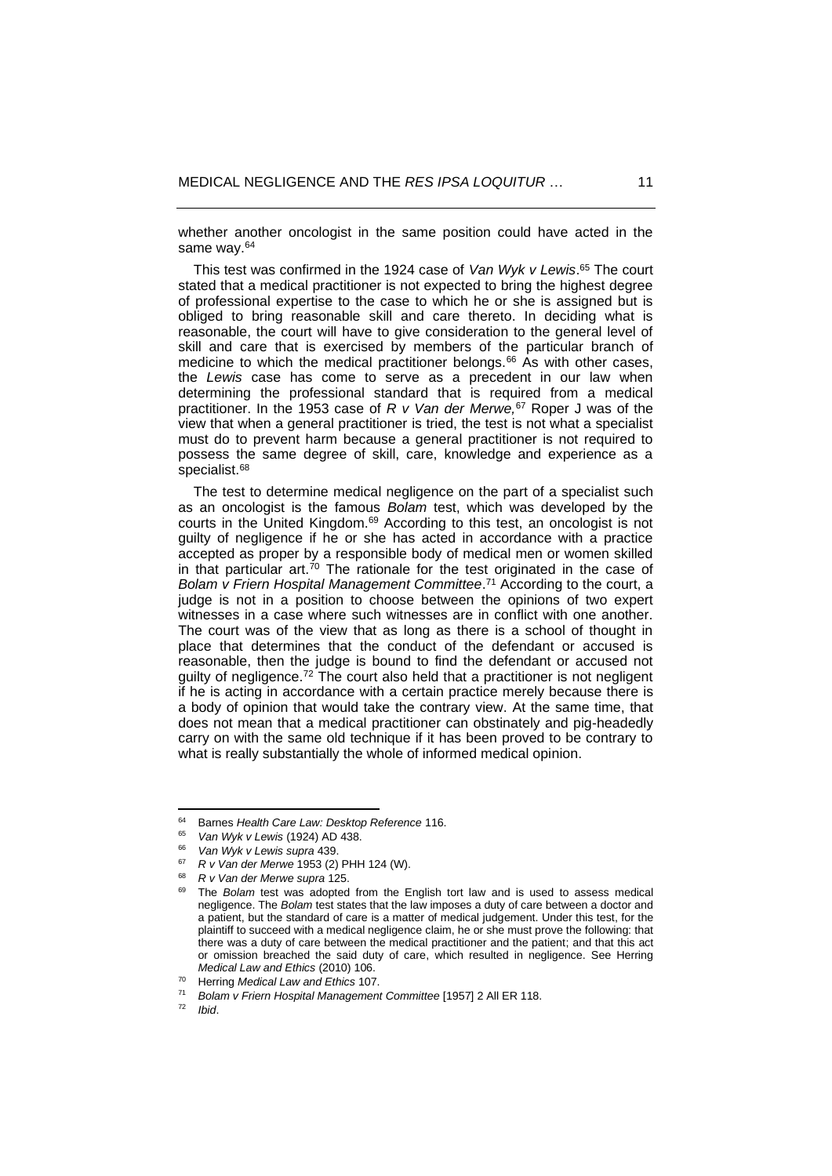whether another oncologist in the same position could have acted in the same way.<sup>64</sup>

 This test was confirmed in the 1924 case of *Van Wyk v Lewis*. <sup>65</sup> The court stated that a medical practitioner is not expected to bring the highest degree of professional expertise to the case to which he or she is assigned but is obliged to bring reasonable skill and care thereto. In deciding what is reasonable, the court will have to give consideration to the general level of skill and care that is exercised by members of the particular branch of medicine to which the medical practitioner belongs. $66$  As with other cases, the *Lewis* case has come to serve as a precedent in our law when determining the professional standard that is required from a medical practitioner. In the 1953 case of *R v Van der Merwe,*<sup>67</sup> Roper J was of the view that when a general practitioner is tried, the test is not what a specialist must do to prevent harm because a general practitioner is not required to possess the same degree of skill, care, knowledge and experience as a specialist.<sup>68</sup>

 The test to determine medical negligence on the part of a specialist such as an oncologist is the famous *Bolam* test, which was developed by the courts in the United Kingdom.<sup>69</sup> According to this test, an oncologist is not guilty of negligence if he or she has acted in accordance with a practice accepted as proper by a responsible body of medical men or women skilled in that particular art.<sup> $70$ </sup> The rationale for the test originated in the case of *Bolam v Friern Hospital Management Committee*. <sup>71</sup> According to the court, a judge is not in a position to choose between the opinions of two expert witnesses in a case where such witnesses are in conflict with one another. The court was of the view that as long as there is a school of thought in place that determines that the conduct of the defendant or accused is reasonable, then the judge is bound to find the defendant or accused not guilty of negligence.<sup>72</sup> The court also held that a practitioner is not negligent if he is acting in accordance with a certain practice merely because there is a body of opinion that would take the contrary view. At the same time, that does not mean that a medical practitioner can obstinately and pig-headedly carry on with the same old technique if it has been proved to be contrary to what is really substantially the whole of informed medical opinion.

<sup>64</sup> Barnes *Health Care Law: Desktop Reference* 116.

<sup>65</sup> *Van Wyk v Lewis* (1924) AD 438.

<sup>66</sup> *Van Wyk v Lewis supra* 439.

<sup>67</sup> *R v Van der Merwe* 1953 (2) PHH 124 (W).

<sup>68</sup> *R v Van der Merwe supra* 125.

The *Bolam* test was adopted from the English tort law and is used to assess medical negligence. The *Bolam* test states that the law imposes a duty of care between a doctor and a patient, but the standard of care is a matter of medical judgement. Under this test, for the plaintiff to succeed with a medical negligence claim, he or she must prove the following: that there was a duty of care between the medical practitioner and the patient; and that this act or omission breached the said duty of care, which resulted in negligence. See Herring *Medical Law and Ethics* (2010) 106.

<sup>70</sup> Herring *Medical Law and Ethics* 107.

<sup>71</sup> *Bolam v Friern Hospital Management Committee* [1957] 2 All ER 118.

<sup>72</sup> *Ibid*.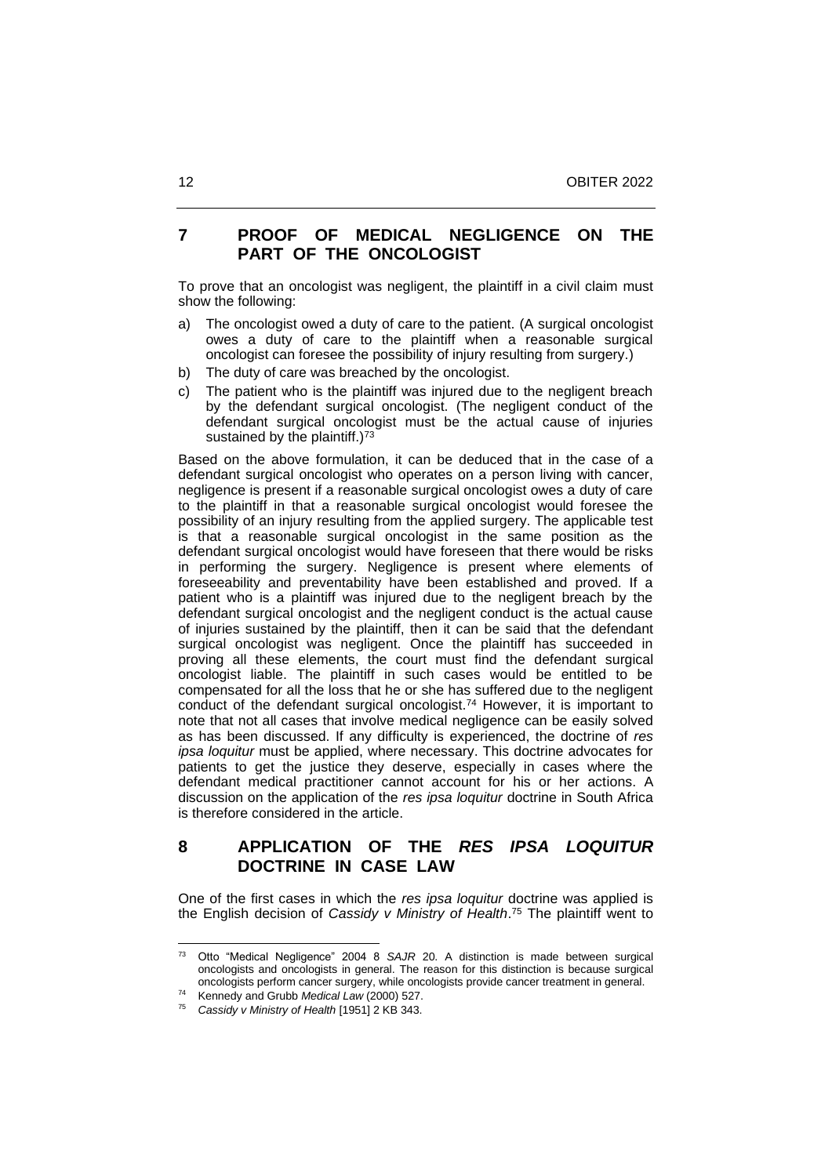# **7 PROOF OF MEDICAL NEGLIGENCE ON THE PART OF THE ONCOLOGIST**

To prove that an oncologist was negligent, the plaintiff in a civil claim must show the following:

- a) The oncologist owed a duty of care to the patient. (A surgical oncologist owes a duty of care to the plaintiff when a reasonable surgical oncologist can foresee the possibility of injury resulting from surgery.)
- b) The duty of care was breached by the oncologist.
- c) The patient who is the plaintiff was injured due to the negligent breach by the defendant surgical oncologist. (The negligent conduct of the defendant surgical oncologist must be the actual cause of injuries sustained by the plaintiff.) $73$

Based on the above formulation, it can be deduced that in the case of a defendant surgical oncologist who operates on a person living with cancer, negligence is present if a reasonable surgical oncologist owes a duty of care to the plaintiff in that a reasonable surgical oncologist would foresee the possibility of an injury resulting from the applied surgery. The applicable test is that a reasonable surgical oncologist in the same position as the defendant surgical oncologist would have foreseen that there would be risks in performing the surgery. Negligence is present where elements of foreseeability and preventability have been established and proved. If a patient who is a plaintiff was injured due to the negligent breach by the defendant surgical oncologist and the negligent conduct is the actual cause of injuries sustained by the plaintiff, then it can be said that the defendant surgical oncologist was negligent. Once the plaintiff has succeeded in proving all these elements, the court must find the defendant surgical oncologist liable. The plaintiff in such cases would be entitled to be compensated for all the loss that he or she has suffered due to the negligent conduct of the defendant surgical oncologist.<sup>74</sup> However, it is important to note that not all cases that involve medical negligence can be easily solved as has been discussed. If any difficulty is experienced, the doctrine of *res ipsa loquitur* must be applied, where necessary. This doctrine advocates for patients to get the justice they deserve, especially in cases where the defendant medical practitioner cannot account for his or her actions. A discussion on the application of the *res ipsa loquitur* doctrine in South Africa is therefore considered in the article.

# **8 APPLICATION OF THE** *RES IPSA LOQUITUR* **DOCTRINE IN CASE LAW**

One of the first cases in which the *res ipsa loquitur* doctrine was applied is the English decision of *Cassidy v Ministry of Health*. <sup>75</sup> The plaintiff went to

<sup>73</sup> Otto "Medical Negligence" 2004 8 *SAJR* 20. A distinction is made between surgical oncologists and oncologists in general. The reason for this distinction is because surgical oncologists perform cancer surgery, while oncologists provide cancer treatment in general.

<sup>74</sup> Kennedy and Grubb *Medical Law* (2000) 527.

<sup>75</sup> *Cassidy v Ministry of Health* [1951] 2 KB 343.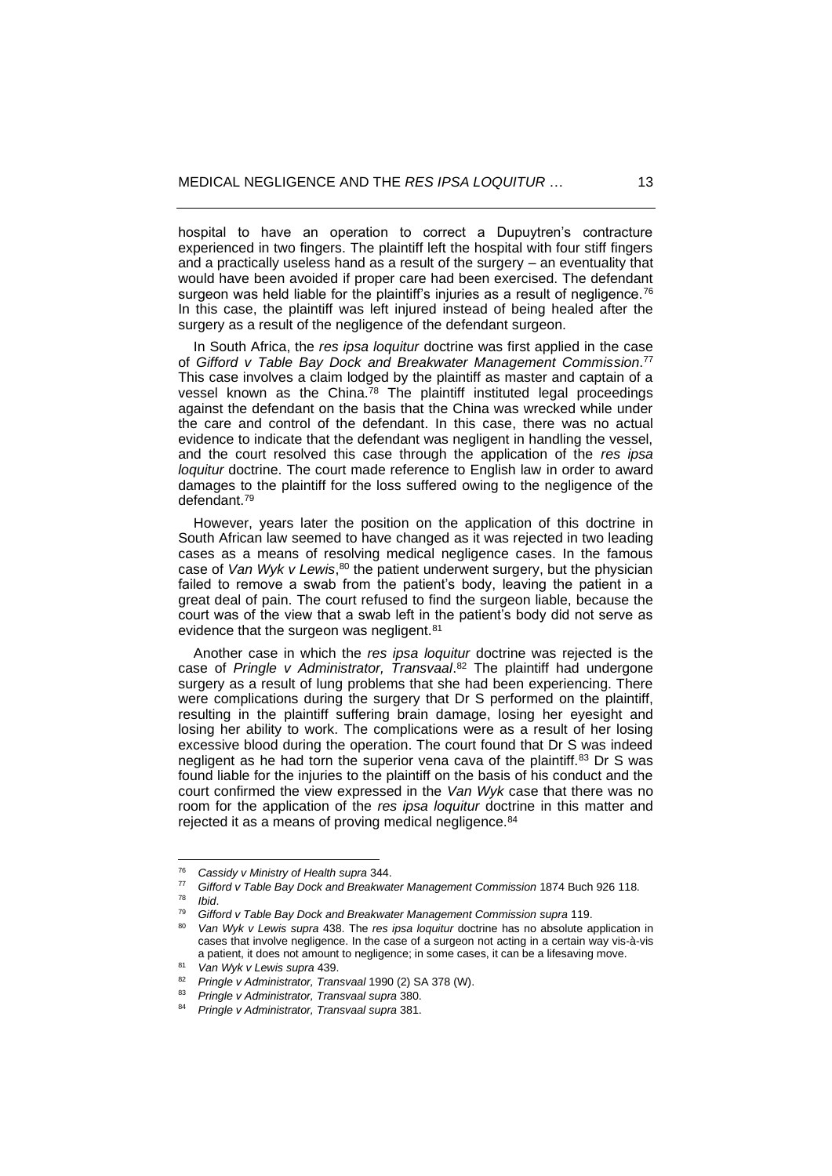hospital to have an operation to correct a Dupuytren's contracture experienced in two fingers. The plaintiff left the hospital with four stiff fingers and a practically useless hand as a result of the surgery – an eventuality that would have been avoided if proper care had been exercised. The defendant surgeon was held liable for the plaintiff's injuries as a result of negligence.<sup>76</sup> In this case, the plaintiff was left injured instead of being healed after the surgery as a result of the negligence of the defendant surgeon.

 In South Africa, the *res ipsa loquitur* doctrine was first applied in the case of *Gifford v Table Bay Dock and Breakwater Management Commission*. 77 This case involves a claim lodged by the plaintiff as master and captain of a vessel known as the China.<sup>78</sup> The plaintiff instituted legal proceedings against the defendant on the basis that the China was wrecked while under the care and control of the defendant. In this case, there was no actual evidence to indicate that the defendant was negligent in handling the vessel, and the court resolved this case through the application of the *res ipsa loquitur* doctrine. The court made reference to English law in order to award damages to the plaintiff for the loss suffered owing to the negligence of the defendant.<sup>79</sup>

 However, years later the position on the application of this doctrine in South African law seemed to have changed as it was rejected in two leading cases as a means of resolving medical negligence cases. In the famous case of Van Wyk v Lewis,<sup>80</sup> the patient underwent surgery, but the physician failed to remove a swab from the patient's body, leaving the patient in a great deal of pain. The court refused to find the surgeon liable, because the court was of the view that a swab left in the patient's body did not serve as evidence that the surgeon was negligent.<sup>81</sup>

 Another case in which the *res ipsa loquitur* doctrine was rejected is the case of *Pringle v Administrator, Transvaal*. <sup>82</sup> The plaintiff had undergone surgery as a result of lung problems that she had been experiencing. There were complications during the surgery that Dr S performed on the plaintiff, resulting in the plaintiff suffering brain damage, losing her eyesight and losing her ability to work. The complications were as a result of her losing excessive blood during the operation. The court found that Dr S was indeed negligent as he had torn the superior vena cava of the plaintiff.<sup>83</sup> Dr S was found liable for the injuries to the plaintiff on the basis of his conduct and the court confirmed the view expressed in the *Van Wyk* case that there was no room for the application of the *res ipsa loquitur* doctrine in this matter and rejected it as a means of proving medical negligence.<sup>84</sup>

<sup>76</sup> *Cassidy v Ministry of Health supra* 344.

<sup>77</sup> *Gifford v Table Bay Dock and Breakwater Management Commission* 1874 Buch 926 118.

<sup>78</sup> *Ibid*.

<sup>79</sup> *Gifford v Table Bay Dock and Breakwater Management Commission supra* 119.

<sup>80</sup> *Van Wyk v Lewis supra* 438. The *res ipsa loquitur* doctrine has no absolute application in cases that involve negligence. In the case of a surgeon not acting in a certain way vis-à-vis a patient, it does not amount to negligence; in some cases, it can be a lifesaving move*.*

<sup>81</sup> *Van Wyk v Lewis supra* 439.

<sup>82</sup> *Pringle v Administrator, Transvaal* 1990 (2) SA 378 (W).

<sup>83</sup> *Pringle v Administrator, Transvaal supra* 380.

<sup>84</sup> *Pringle v Administrator, Transvaal supra* 381.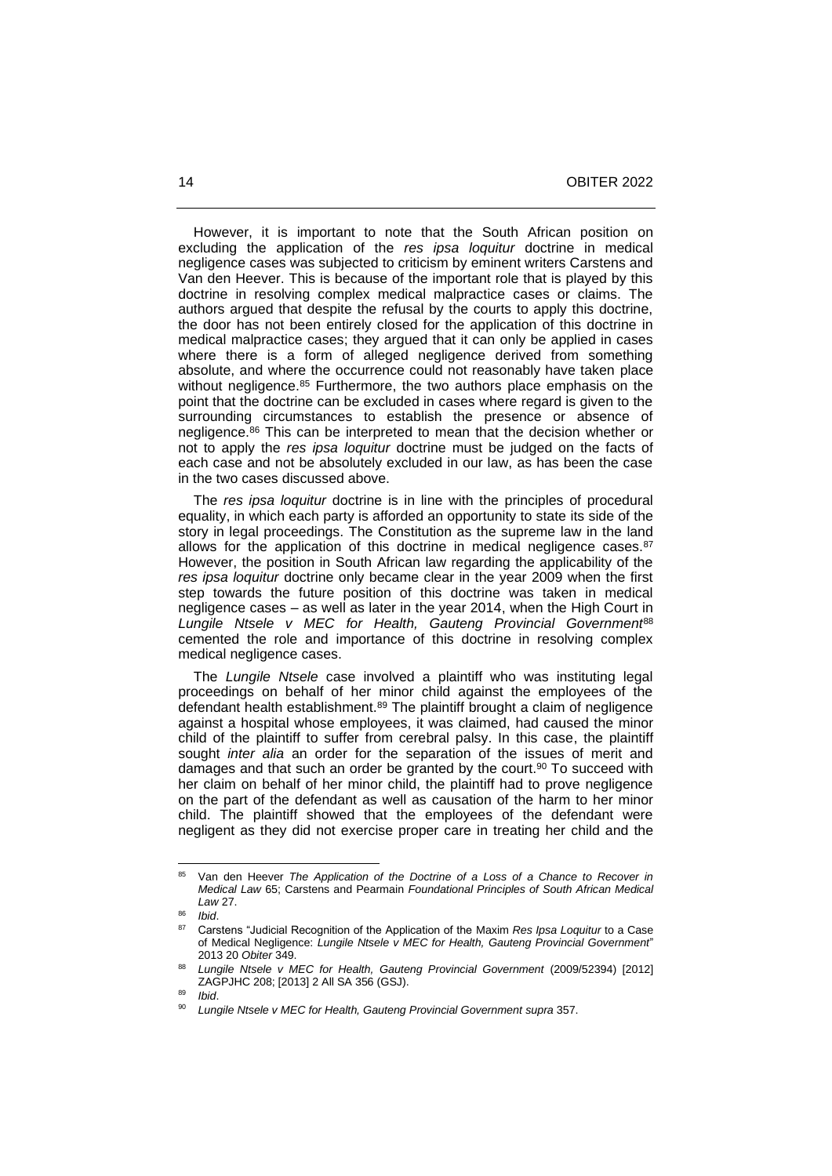However, it is important to note that the South African position on excluding the application of the *res ipsa loquitur* doctrine in medical negligence cases was subjected to criticism by eminent writers Carstens and Van den Heever. This is because of the important role that is played by this doctrine in resolving complex medical malpractice cases or claims. The authors argued that despite the refusal by the courts to apply this doctrine, the door has not been entirely closed for the application of this doctrine in medical malpractice cases; they argued that it can only be applied in cases where there is a form of alleged negligence derived from something absolute, and where the occurrence could not reasonably have taken place without negligence.<sup>85</sup> Furthermore, the two authors place emphasis on the point that the doctrine can be excluded in cases where regard is given to the surrounding circumstances to establish the presence or absence of negligence.<sup>86</sup> This can be interpreted to mean that the decision whether or not to apply the *res ipsa loquitur* doctrine must be judged on the facts of each case and not be absolutely excluded in our law, as has been the case in the two cases discussed above.

 The *res ipsa loquitur* doctrine is in line with the principles of procedural equality, in which each party is afforded an opportunity to state its side of the story in legal proceedings. The Constitution as the supreme law in the land allows for the application of this doctrine in medical negligence cases.<sup>87</sup> However, the position in South African law regarding the applicability of the *res ipsa loquitur* doctrine only became clear in the year 2009 when the first step towards the future position of this doctrine was taken in medical negligence cases – as well as later in the year 2014, when the High Court in *Lungile Ntsele v MEC for Health, Gauteng Provincial Government*<sup>88</sup> cemented the role and importance of this doctrine in resolving complex medical negligence cases.

 The *Lungile Ntsele* case involved a plaintiff who was instituting legal proceedings on behalf of her minor child against the employees of the defendant health establishment.<sup>89</sup> The plaintiff brought a claim of negligence against a hospital whose employees, it was claimed, had caused the minor child of the plaintiff to suffer from cerebral palsy. In this case, the plaintiff sought *inter alia* an order for the separation of the issues of merit and damages and that such an order be granted by the court.<sup>90</sup> To succeed with her claim on behalf of her minor child, the plaintiff had to prove negligence on the part of the defendant as well as causation of the harm to her minor child. The plaintiff showed that the employees of the defendant were negligent as they did not exercise proper care in treating her child and the

<sup>85</sup> Van den Heever *The Application of the Doctrine of a Loss of a Chance to Recover in Medical Law* 65; Carstens and Pearmain *Foundational Principles of South African Medical Law* 27.

<sup>86</sup> *Ibid*.

<sup>87</sup> Carstens "Judicial Recognition of the Application of the Maxim *Res Ipsa Loquitur* to a Case of Medical Negligence: *Lungile Ntsele v MEC for Health, Gauteng Provincial Government*" 2013 20 *Obiter* 349.

<sup>88</sup> *Lungile Ntsele v MEC for Health, Gauteng Provincial Government* (2009/52394) [2012] ZAGPJHC 208; [2013] 2 All SA 356 (GSJ).

<sup>89</sup> *Ibid*.

<sup>90</sup> *Lungile Ntsele v MEC for Health, Gauteng Provincial Government supra* 357.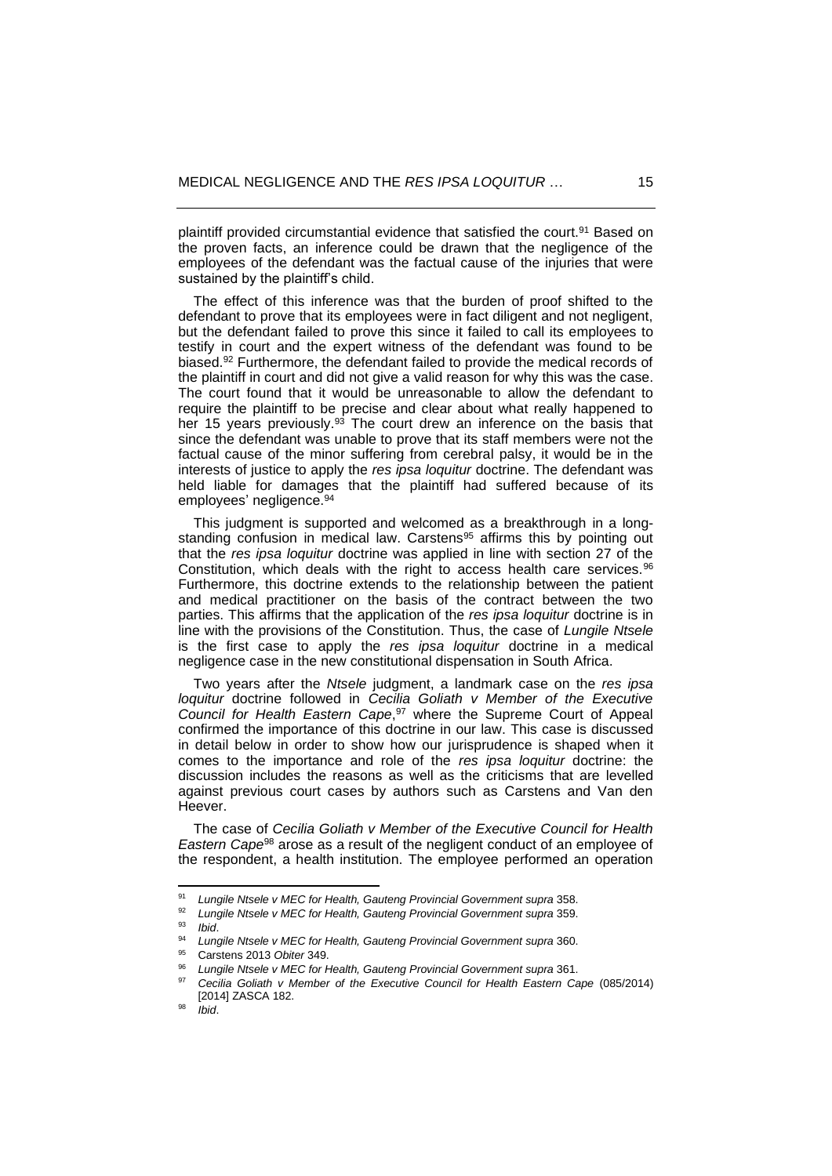plaintiff provided circumstantial evidence that satisfied the court.<sup>91</sup> Based on the proven facts, an inference could be drawn that the negligence of the employees of the defendant was the factual cause of the injuries that were sustained by the plaintiff's child.

 The effect of this inference was that the burden of proof shifted to the defendant to prove that its employees were in fact diligent and not negligent, but the defendant failed to prove this since it failed to call its employees to testify in court and the expert witness of the defendant was found to be biased.<sup>92</sup> Furthermore, the defendant failed to provide the medical records of the plaintiff in court and did not give a valid reason for why this was the case. The court found that it would be unreasonable to allow the defendant to require the plaintiff to be precise and clear about what really happened to her 15 years previously.<sup>93</sup> The court drew an inference on the basis that since the defendant was unable to prove that its staff members were not the factual cause of the minor suffering from cerebral palsy, it would be in the interests of justice to apply the *res ipsa loquitur* doctrine. The defendant was held liable for damages that the plaintiff had suffered because of its employees' negligence. 94

 This judgment is supported and welcomed as a breakthrough in a longstanding confusion in medical law. Carstens<sup>95</sup> affirms this by pointing out that the *res ipsa loquitur* doctrine was applied in line with section 27 of the Constitution, which deals with the right to access health care services.<sup>96</sup> Furthermore, this doctrine extends to the relationship between the patient and medical practitioner on the basis of the contract between the two parties. This affirms that the application of the *res ipsa loquitur* doctrine is in line with the provisions of the Constitution. Thus, the case of *Lungile Ntsele* is the first case to apply the *res ipsa loquitur* doctrine in a medical negligence case in the new constitutional dispensation in South Africa.

 Two years after the *Ntsele* judgment, a landmark case on the *res ipsa loquitur* doctrine followed in *Cecilia Goliath v Member of the Executive Council for Health Eastern Cape*, <sup>97</sup> where the Supreme Court of Appeal confirmed the importance of this doctrine in our law. This case is discussed in detail below in order to show how our jurisprudence is shaped when it comes to the importance and role of the *res ipsa loquitur* doctrine: the discussion includes the reasons as well as the criticisms that are levelled against previous court cases by authors such as Carstens and Van den Heever.

 The case of *Cecilia Goliath v Member of the Executive Council for Health Eastern Cape*<sup>98</sup> arose as a result of the negligent conduct of an employee of the respondent, a health institution. The employee performed an operation

<sup>91</sup> *Lungile Ntsele v MEC for Health, Gauteng Provincial Government supra* 358.

<sup>92</sup> *Lungile Ntsele v MEC for Health, Gauteng Provincial Government supra* 359.

<sup>93</sup> *Ibid*.

<sup>94</sup> *Lungile Ntsele v MEC for Health, Gauteng Provincial Government supra* 360.

<sup>95</sup> Carstens 2013 *Obiter* 349.

<sup>96</sup> *Lungile Ntsele v MEC for Health, Gauteng Provincial Government supra* 361.

<sup>97</sup> *Cecilia Goliath v Member of the Executive Council for Health Eastern Cape* (085/2014) [2014] ZASCA 182.

<sup>98</sup> *Ibid*.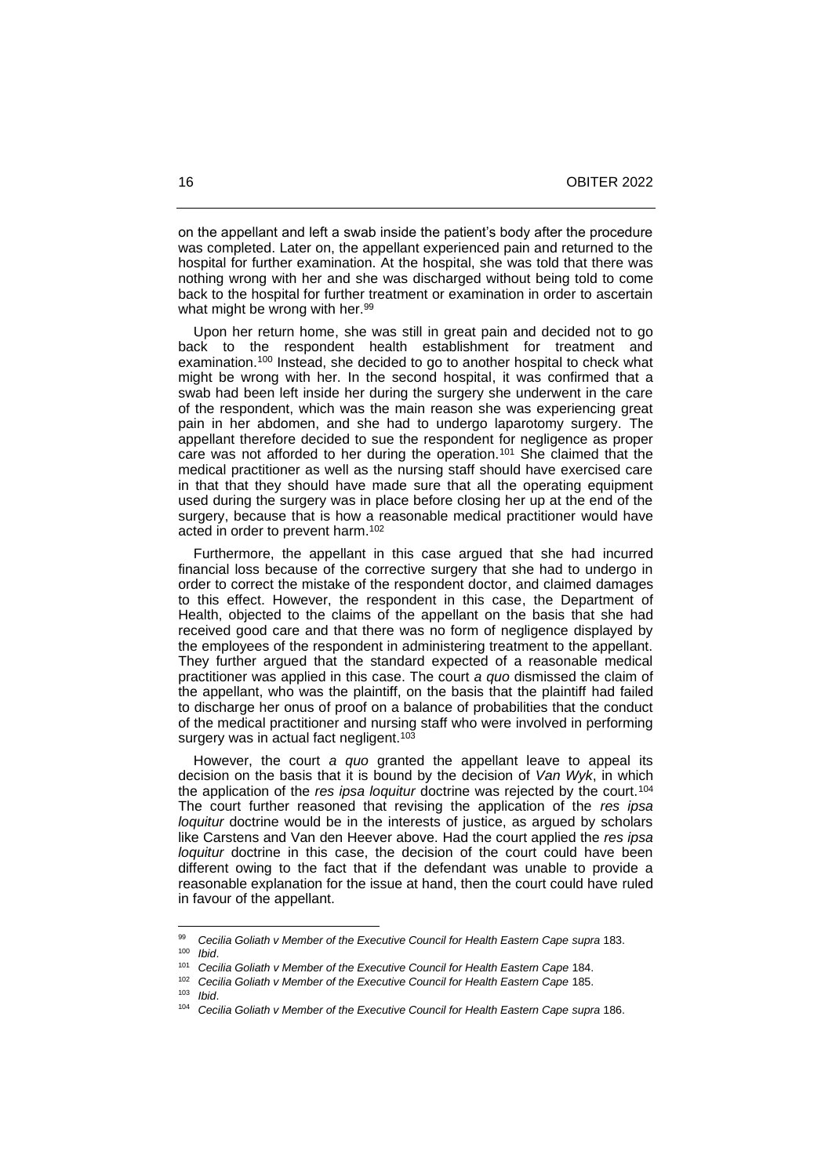on the appellant and left a swab inside the patient's body after the procedure was completed. Later on, the appellant experienced pain and returned to the hospital for further examination. At the hospital, she was told that there was nothing wrong with her and she was discharged without being told to come back to the hospital for further treatment or examination in order to ascertain what might be wrong with her.<sup>99</sup>

 Upon her return home, she was still in great pain and decided not to go back to the respondent health establishment for treatment and examination.<sup>100</sup> Instead, she decided to go to another hospital to check what might be wrong with her. In the second hospital, it was confirmed that a swab had been left inside her during the surgery she underwent in the care of the respondent, which was the main reason she was experiencing great pain in her abdomen, and she had to undergo laparotomy surgery. The appellant therefore decided to sue the respondent for negligence as proper care was not afforded to her during the operation.<sup>101</sup> She claimed that the medical practitioner as well as the nursing staff should have exercised care in that that they should have made sure that all the operating equipment used during the surgery was in place before closing her up at the end of the surgery, because that is how a reasonable medical practitioner would have acted in order to prevent harm.<sup>102</sup>

 Furthermore, the appellant in this case argued that she had incurred financial loss because of the corrective surgery that she had to undergo in order to correct the mistake of the respondent doctor, and claimed damages to this effect. However, the respondent in this case, the Department of Health, objected to the claims of the appellant on the basis that she had received good care and that there was no form of negligence displayed by the employees of the respondent in administering treatment to the appellant. They further argued that the standard expected of a reasonable medical practitioner was applied in this case. The court *a quo* dismissed the claim of the appellant, who was the plaintiff, on the basis that the plaintiff had failed to discharge her onus of proof on a balance of probabilities that the conduct of the medical practitioner and nursing staff who were involved in performing surgery was in actual fact negligent.<sup>103</sup>

 However, the court *a quo* granted the appellant leave to appeal its decision on the basis that it is bound by the decision of *Van Wyk*, in which the application of the *res ipsa loquitur* doctrine was rejected by the court.<sup>104</sup> The court further reasoned that revising the application of the *res ipsa loquitur* doctrine would be in the interests of justice, as argued by scholars like Carstens and Van den Heever above. Had the court applied the *res ipsa loquitur* doctrine in this case, the decision of the court could have been different owing to the fact that if the defendant was unable to provide a reasonable explanation for the issue at hand, then the court could have ruled in favour of the appellant.

<sup>99</sup> *Cecilia Goliath v Member of the Executive Council for Health Eastern Cape supra* 183. <sup>100</sup> *Ibid*.

<sup>&</sup>lt;sup>101</sup> Cecilia Goliath *v* Member of the Executive Council for Health Eastern Cape 184.

<sup>102</sup> *Cecilia Goliath v Member of the Executive Council for Health Eastern Cape* 185.

<sup>103</sup> *Ibid*.

<sup>104</sup> *Cecilia Goliath v Member of the Executive Council for Health Eastern Cape supra* 186.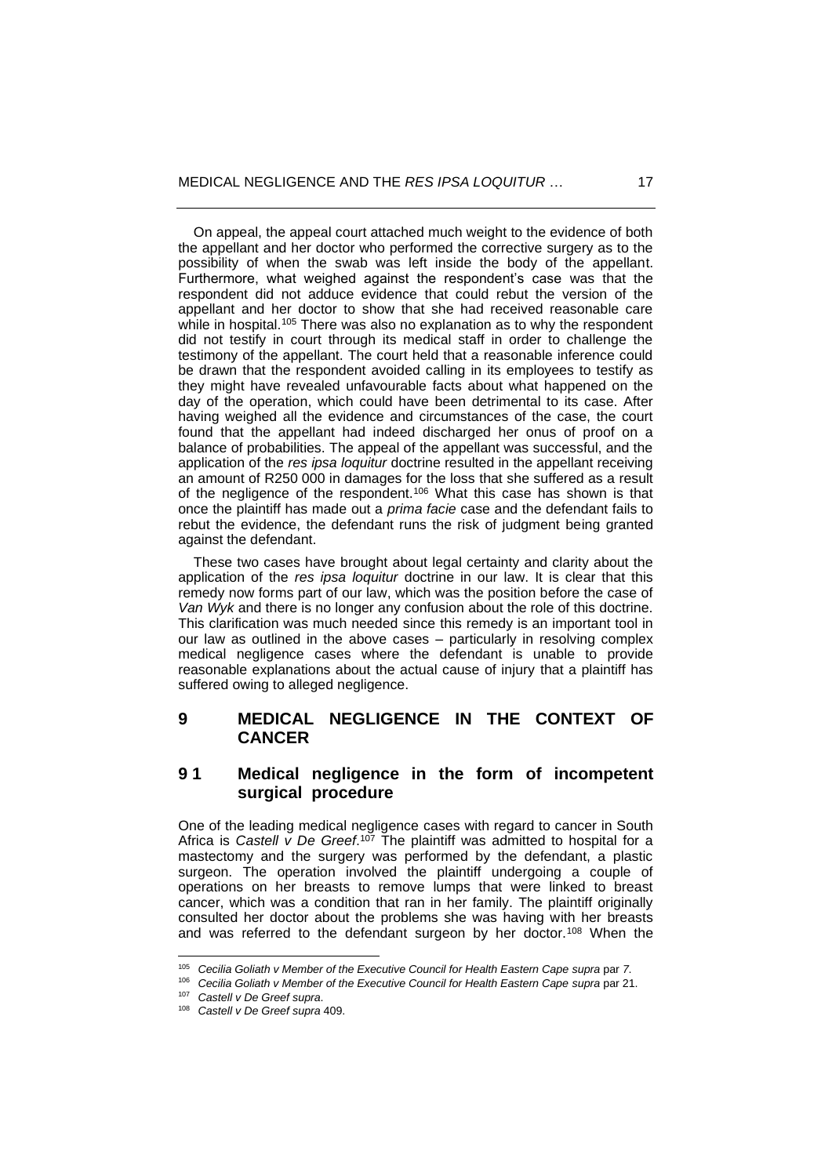On appeal, the appeal court attached much weight to the evidence of both the appellant and her doctor who performed the corrective surgery as to the possibility of when the swab was left inside the body of the appellant. Furthermore, what weighed against the respondent's case was that the respondent did not adduce evidence that could rebut the version of the appellant and her doctor to show that she had received reasonable care while in hospital.<sup>105</sup> There was also no explanation as to why the respondent did not testify in court through its medical staff in order to challenge the testimony of the appellant. The court held that a reasonable inference could be drawn that the respondent avoided calling in its employees to testify as they might have revealed unfavourable facts about what happened on the day of the operation, which could have been detrimental to its case. After having weighed all the evidence and circumstances of the case, the court found that the appellant had indeed discharged her onus of proof on a balance of probabilities. The appeal of the appellant was successful, and the application of the *res ipsa loquitur* doctrine resulted in the appellant receiving an amount of R250 000 in damages for the loss that she suffered as a result of the negligence of the respondent.<sup>106</sup> What this case has shown is that once the plaintiff has made out a *prima facie* case and the defendant fails to rebut the evidence, the defendant runs the risk of judgment being granted against the defendant.

 These two cases have brought about legal certainty and clarity about the application of the *res ipsa loquitur* doctrine in our law. It is clear that this remedy now forms part of our law, which was the position before the case of *Van Wyk* and there is no longer any confusion about the role of this doctrine. This clarification was much needed since this remedy is an important tool in our law as outlined in the above cases – particularly in resolving complex medical negligence cases where the defendant is unable to provide reasonable explanations about the actual cause of injury that a plaintiff has suffered owing to alleged negligence.

# **9 MEDICAL NEGLIGENCE IN THE CONTEXT OF CANCER**

# **9 1 Medical negligence in the form of incompetent surgical procedure**

One of the leading medical negligence cases with regard to cancer in South Africa is Castell v De Greef.<sup>107</sup> The plaintiff was admitted to hospital for a mastectomy and the surgery was performed by the defendant, a plastic surgeon. The operation involved the plaintiff undergoing a couple of operations on her breasts to remove lumps that were linked to breast cancer, which was a condition that ran in her family. The plaintiff originally consulted her doctor about the problems she was having with her breasts and was referred to the defendant surgeon by her doctor.<sup>108</sup> When the

<sup>105</sup> *Cecilia Goliath v Member of the Executive Council for Health Eastern Cape supra* par *7*.

<sup>106</sup> *Cecilia Goliath v Member of the Executive Council for Health Eastern Cape supra* par 21.

<sup>107</sup> *Castell v De Greef supra*.

<sup>108</sup> *Castell v De Greef supra* 409.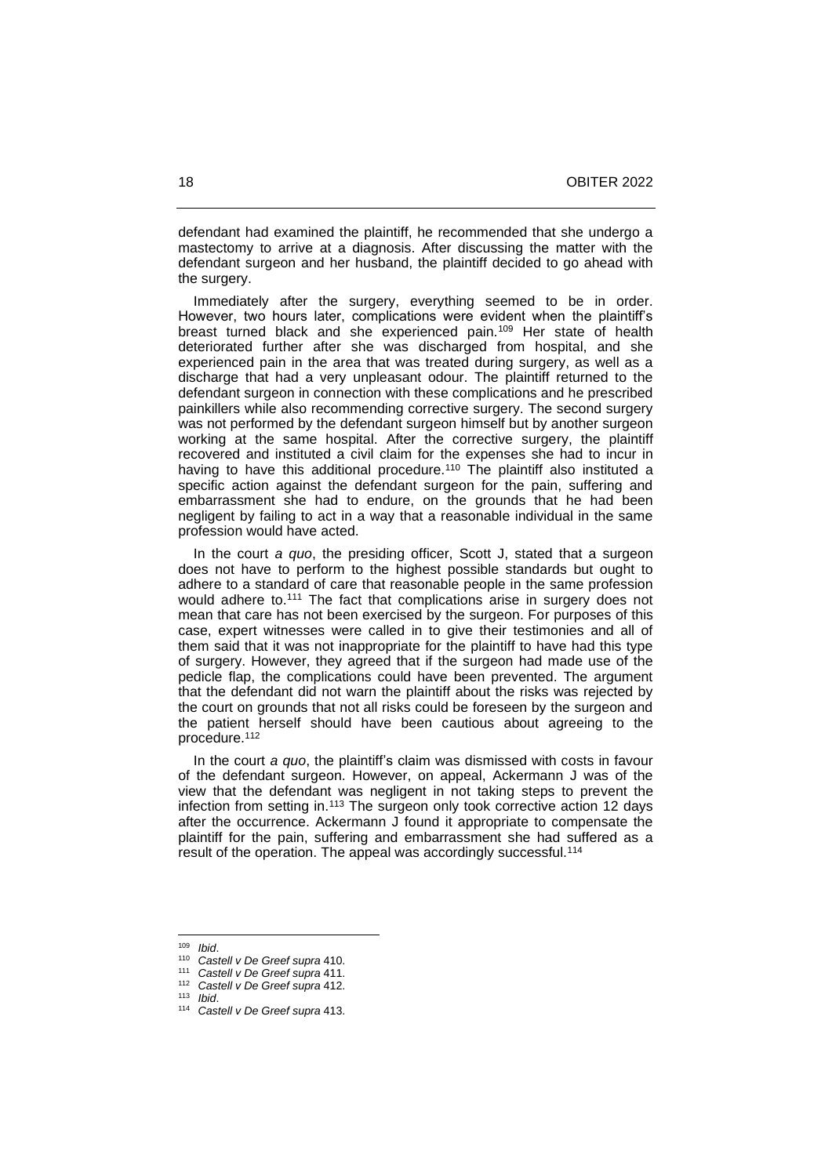defendant had examined the plaintiff, he recommended that she undergo a mastectomy to arrive at a diagnosis. After discussing the matter with the defendant surgeon and her husband, the plaintiff decided to go ahead with the surgery.

 Immediately after the surgery, everything seemed to be in order. However, two hours later, complications were evident when the plaintiff's breast turned black and she experienced pain.<sup>109</sup> Her state of health deteriorated further after she was discharged from hospital, and she experienced pain in the area that was treated during surgery, as well as a discharge that had a very unpleasant odour. The plaintiff returned to the defendant surgeon in connection with these complications and he prescribed painkillers while also recommending corrective surgery. The second surgery was not performed by the defendant surgeon himself but by another surgeon working at the same hospital. After the corrective surgery, the plaintiff recovered and instituted a civil claim for the expenses she had to incur in having to have this additional procedure.<sup>110</sup> The plaintiff also instituted a specific action against the defendant surgeon for the pain, suffering and embarrassment she had to endure, on the grounds that he had been negligent by failing to act in a way that a reasonable individual in the same profession would have acted.

 In the court *a quo*, the presiding officer, Scott J, stated that a surgeon does not have to perform to the highest possible standards but ought to adhere to a standard of care that reasonable people in the same profession would adhere to.<sup>111</sup> The fact that complications arise in surgery does not mean that care has not been exercised by the surgeon. For purposes of this case, expert witnesses were called in to give their testimonies and all of them said that it was not inappropriate for the plaintiff to have had this type of surgery. However, they agreed that if the surgeon had made use of the pedicle flap, the complications could have been prevented. The argument that the defendant did not warn the plaintiff about the risks was rejected by the court on grounds that not all risks could be foreseen by the surgeon and the patient herself should have been cautious about agreeing to the procedure.<sup>112</sup>

 In the court *a quo*, the plaintiff's claim was dismissed with costs in favour of the defendant surgeon. However, on appeal, Ackermann J was of the view that the defendant was negligent in not taking steps to prevent the infection from setting in.<sup>113</sup> The surgeon only took corrective action 12 days after the occurrence. Ackermann J found it appropriate to compensate the plaintiff for the pain, suffering and embarrassment she had suffered as a result of the operation. The appeal was accordingly successful.<sup>114</sup>

<sup>109</sup> *Ibid*.

<sup>110</sup> *Castell v De Greef supra* 410.

<sup>111</sup> *Castell v De Greef supra* 411.

<sup>112</sup> *Castell v De Greef supra* 412.

<sup>113</sup> *Ibid*.

<sup>114</sup> *Castell v De Greef supra* 413.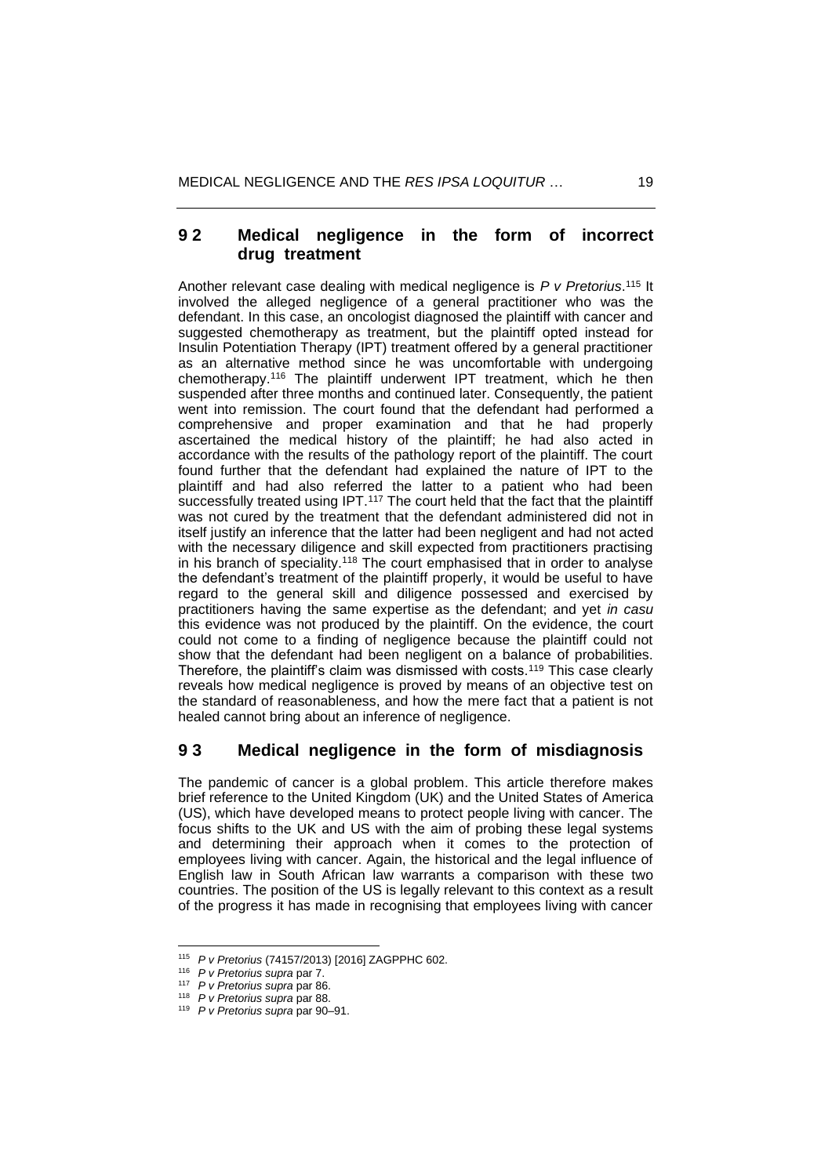## **9 2 Medical negligence in the form of incorrect drug treatment**

Another relevant case dealing with medical negligence is *P v Pretorius*. <sup>115</sup> It involved the alleged negligence of a general practitioner who was the defendant. In this case, an oncologist diagnosed the plaintiff with cancer and suggested chemotherapy as treatment, but the plaintiff opted instead for Insulin Potentiation Therapy (IPT) treatment offered by a general practitioner as an alternative method since he was uncomfortable with undergoing chemotherapy.<sup>116</sup> The plaintiff underwent IPT treatment, which he then suspended after three months and continued later. Consequently, the patient went into remission. The court found that the defendant had performed a comprehensive and proper examination and that he had properly ascertained the medical history of the plaintiff; he had also acted in accordance with the results of the pathology report of the plaintiff. The court found further that the defendant had explained the nature of IPT to the plaintiff and had also referred the latter to a patient who had been successfully treated using IPT.<sup>117</sup> The court held that the fact that the plaintiff was not cured by the treatment that the defendant administered did not in itself justify an inference that the latter had been negligent and had not acted with the necessary diligence and skill expected from practitioners practising in his branch of speciality.<sup>118</sup> The court emphasised that in order to analyse the defendant's treatment of the plaintiff properly, it would be useful to have regard to the general skill and diligence possessed and exercised by practitioners having the same expertise as the defendant; and yet *in casu* this evidence was not produced by the plaintiff. On the evidence, the court could not come to a finding of negligence because the plaintiff could not show that the defendant had been negligent on a balance of probabilities. Therefore, the plaintiff's claim was dismissed with costs.<sup>119</sup> This case clearly reveals how medical negligence is proved by means of an objective test on the standard of reasonableness, and how the mere fact that a patient is not healed cannot bring about an inference of negligence.

## **9 3 Medical negligence in the form of misdiagnosis**

The pandemic of cancer is a global problem. This article therefore makes brief reference to the United Kingdom (UK) and the United States of America (US), which have developed means to protect people living with cancer. The focus shifts to the UK and US with the aim of probing these legal systems and determining their approach when it comes to the protection of employees living with cancer. Again, the historical and the legal influence of English law in South African law warrants a comparison with these two countries. The position of the US is legally relevant to this context as a result of the progress it has made in recognising that employees living with cancer

<sup>115</sup> *P v Pretorius* (74157/2013) [2016] ZAGPPHC 602.

<sup>116</sup> *P v Pretorius supra* par 7.

<sup>117</sup> *P v Pretorius supra* par 86.

<sup>118</sup> *P v Pretorius supra* par 88.

<sup>119</sup> *P v Pretorius supra* par 90‒91.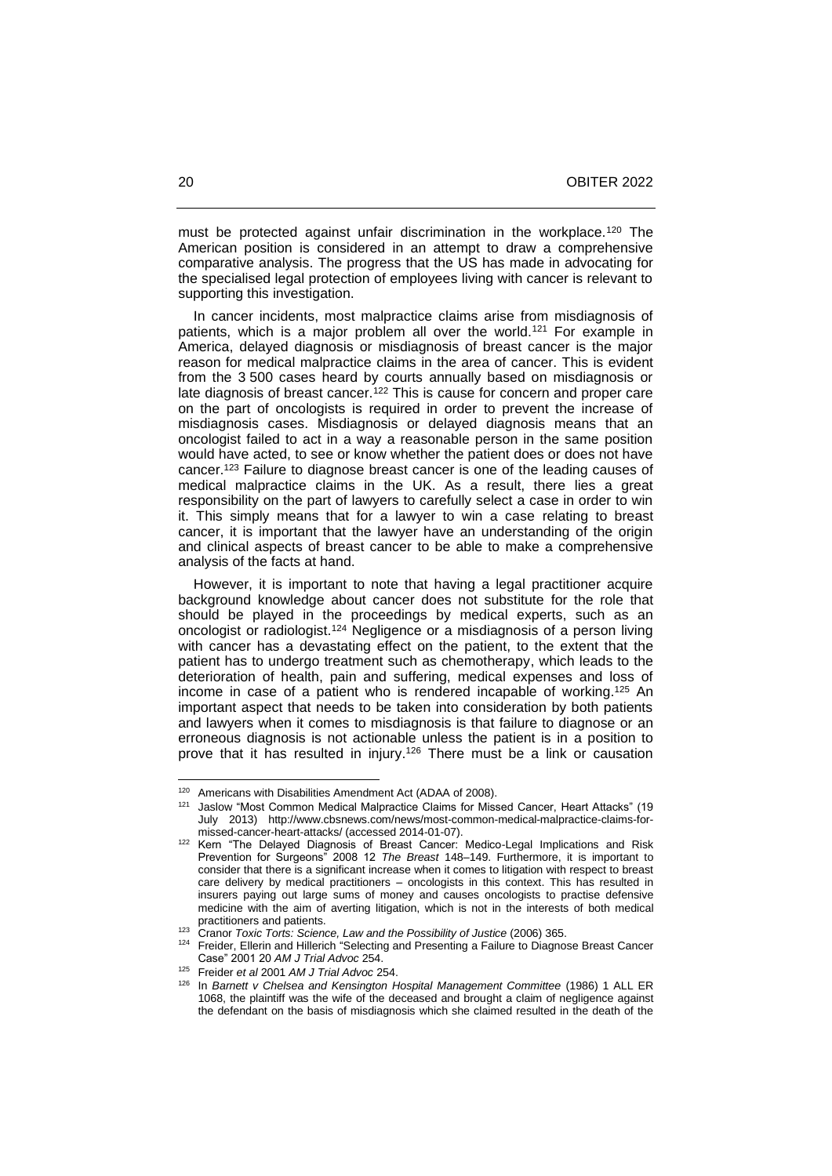must be protected against unfair discrimination in the workplace.<sup>120</sup> The American position is considered in an attempt to draw a comprehensive comparative analysis. The progress that the US has made in advocating for the specialised legal protection of employees living with cancer is relevant to supporting this investigation.

 In cancer incidents, most malpractice claims arise from misdiagnosis of patients, which is a major problem all over the world.<sup>121</sup> For example in America, delayed diagnosis or misdiagnosis of breast cancer is the major reason for medical malpractice claims in the area of cancer. This is evident from the 3 500 cases heard by courts annually based on misdiagnosis or late diagnosis of breast cancer.<sup>122</sup> This is cause for concern and proper care on the part of oncologists is required in order to prevent the increase of misdiagnosis cases. Misdiagnosis or delayed diagnosis means that an oncologist failed to act in a way a reasonable person in the same position would have acted, to see or know whether the patient does or does not have cancer.<sup>123</sup> Failure to diagnose breast cancer is one of the leading causes of medical malpractice claims in the UK. As a result, there lies a great responsibility on the part of lawyers to carefully select a case in order to win it. This simply means that for a lawyer to win a case relating to breast cancer, it is important that the lawyer have an understanding of the origin and clinical aspects of breast cancer to be able to make a comprehensive analysis of the facts at hand.

 However, it is important to note that having a legal practitioner acquire background knowledge about cancer does not substitute for the role that should be played in the proceedings by medical experts, such as an oncologist or radiologist.<sup>124</sup> Negligence or a misdiagnosis of a person living with cancer has a devastating effect on the patient, to the extent that the patient has to undergo treatment such as chemotherapy, which leads to the deterioration of health, pain and suffering, medical expenses and loss of income in case of a patient who is rendered incapable of working.<sup>125</sup> An important aspect that needs to be taken into consideration by both patients and lawyers when it comes to misdiagnosis is that failure to diagnose or an erroneous diagnosis is not actionable unless the patient is in a position to prove that it has resulted in injury. <sup>126</sup> There must be a link or causation

<sup>&</sup>lt;sup>120</sup> Americans with Disabilities Amendment Act (ADAA of 2008).

<sup>&</sup>lt;sup>121</sup> Jaslow "Most Common Medical Malpractice Claims for Missed Cancer, Heart Attacks" (19 July 2013) http://www.cbsnews.com/news/most-common-medical-malpractice-claims-formissed-cancer-heart-attacks/ (accessed 2014-01-07).

<sup>&</sup>lt;sup>122</sup> Kern "The Delayed Diagnosis of Breast Cancer: Medico-Legal Implications and Risk Prevention for Surgeons" 2008 12 The Breast 148-149. Furthermore, it is important to consider that there is a significant increase when it comes to litigation with respect to breast care delivery by medical practitioners – oncologists in this context. This has resulted in insurers paying out large sums of money and causes oncologists to practise defensive medicine with the aim of averting litigation, which is not in the interests of both medical practitioners and patients.

<sup>&</sup>lt;sup>123</sup> Cranor *Toxic Torts: Science, Law and the Possibility of Justice* (2006) 365.<br><sup>124</sup> Ersider Ellerin and Hillerich "Scleeting and Presenting a Feilure to Disgne

<sup>124</sup> Freider, Ellerin and Hillerich "Selecting and Presenting a Failure to Diagnose Breast Cancer Case" 2001 20 *AM J Trial Advoc* 254.

<sup>125</sup> Freider *et al* 2001 *AM J Trial Advoc* 254.

<sup>126</sup> In *Barnett v Chelsea and Kensington Hospital Management Committee* (1986) 1 ALL ER 1068, the plaintiff was the wife of the deceased and brought a claim of negligence against the defendant on the basis of misdiagnosis which she claimed resulted in the death of the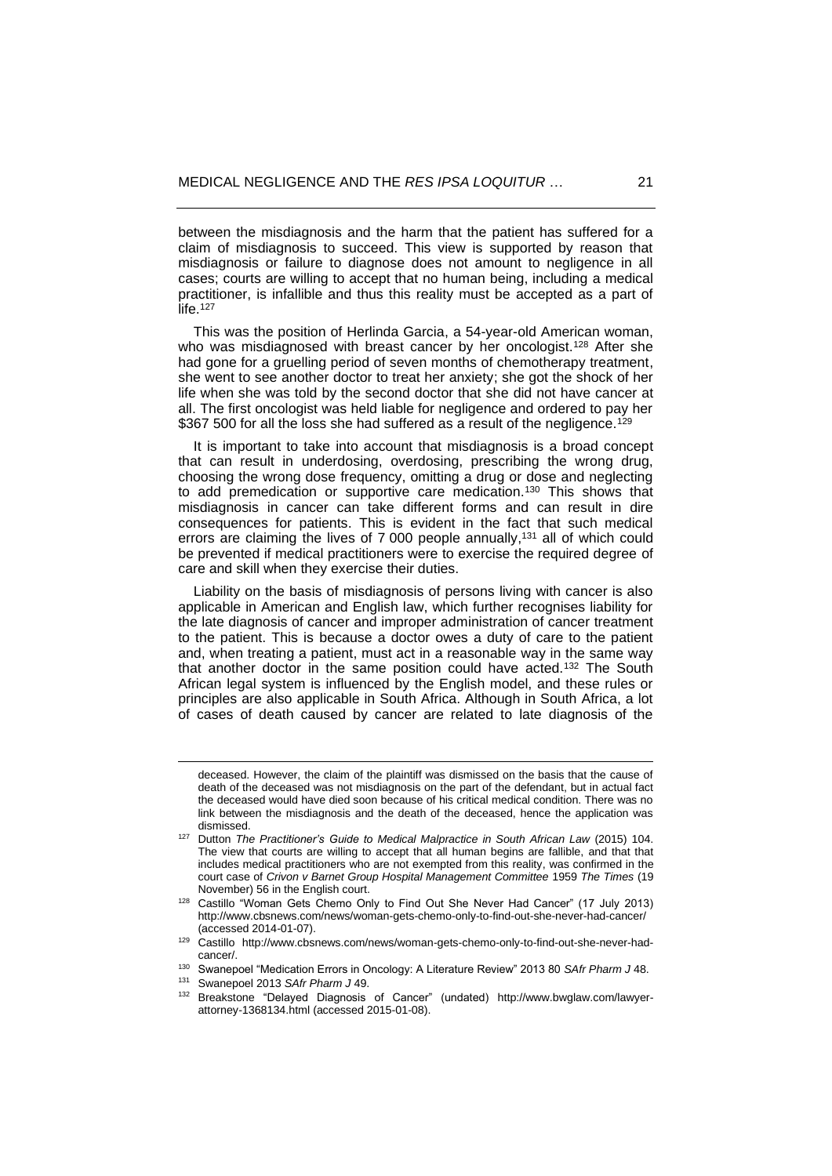between the misdiagnosis and the harm that the patient has suffered for a claim of misdiagnosis to succeed. This view is supported by reason that misdiagnosis or failure to diagnose does not amount to negligence in all cases; courts are willing to accept that no human being, including a medical practitioner, is infallible and thus this reality must be accepted as a part of life.<sup>127</sup>

 This was the position of Herlinda Garcia, a 54-year-old American woman, who was misdiagnosed with breast cancer by her oncologist.<sup>128</sup> After she had gone for a gruelling period of seven months of chemotherapy treatment, she went to see another doctor to treat her anxiety; she got the shock of her life when she was told by the second doctor that she did not have cancer at all. The first oncologist was held liable for negligence and ordered to pay her \$367 500 for all the loss she had suffered as a result of the negligence.<sup>129</sup>

 It is important to take into account that misdiagnosis is a broad concept that can result in underdosing, overdosing, prescribing the wrong drug, choosing the wrong dose frequency, omitting a drug or dose and neglecting to add premedication or supportive care medication.<sup>130</sup> This shows that misdiagnosis in cancer can take different forms and can result in dire consequences for patients. This is evident in the fact that such medical errors are claiming the lives of 7 000 people annually,<sup>131</sup> all of which could be prevented if medical practitioners were to exercise the required degree of care and skill when they exercise their duties.

 Liability on the basis of misdiagnosis of persons living with cancer is also applicable in American and English law, which further recognises liability for the late diagnosis of cancer and improper administration of cancer treatment to the patient. This is because a doctor owes a duty of care to the patient and, when treating a patient, must act in a reasonable way in the same way that another doctor in the same position could have acted.<sup>132</sup> The South African legal system is influenced by the English model, and these rules or principles are also applicable in South Africa. Although in South Africa, a lot of cases of death caused by cancer are related to late diagnosis of the

deceased. However, the claim of the plaintiff was dismissed on the basis that the cause of death of the deceased was not misdiagnosis on the part of the defendant, but in actual fact the deceased would have died soon because of his critical medical condition. There was no link between the misdiagnosis and the death of the deceased, hence the application was dismissed.

<sup>127</sup> Dutton *The Practitioner's Guide to Medical Malpractice in South African Law* (2015) 104. The view that courts are willing to accept that all human begins are fallible, and that that includes medical practitioners who are not exempted from this reality, was confirmed in the court case of *Crivon v Barnet Group Hospital Management Committee* 1959 *The Times* (19 November) 56 in the English court.

<sup>128</sup> Castillo "Woman Gets Chemo Only to Find Out She Never Had Cancer" (17 July 2013) http://www.cbsnews.com/news/woman-gets-chemo-only-to-find-out-she-never-had-cancer/ (accessed 2014-01-07).

<sup>129</sup> Castillo http://www.cbsnews.com/news/woman-gets-chemo-only-to-find-out-she-never-hadcancer/.

<sup>130</sup> Swanepoel "Medication Errors in Oncology: A Literature Review" 2013 80 *SAfr Pharm J* 48.

<sup>131</sup> Swanepoel 2013 *SAfr Pharm J* 49.

<sup>132</sup> Breakstone "Delayed Diagnosis of Cancer" (undated) http://www.bwglaw.com/lawyerattorney-1368134.html (accessed 2015-01-08).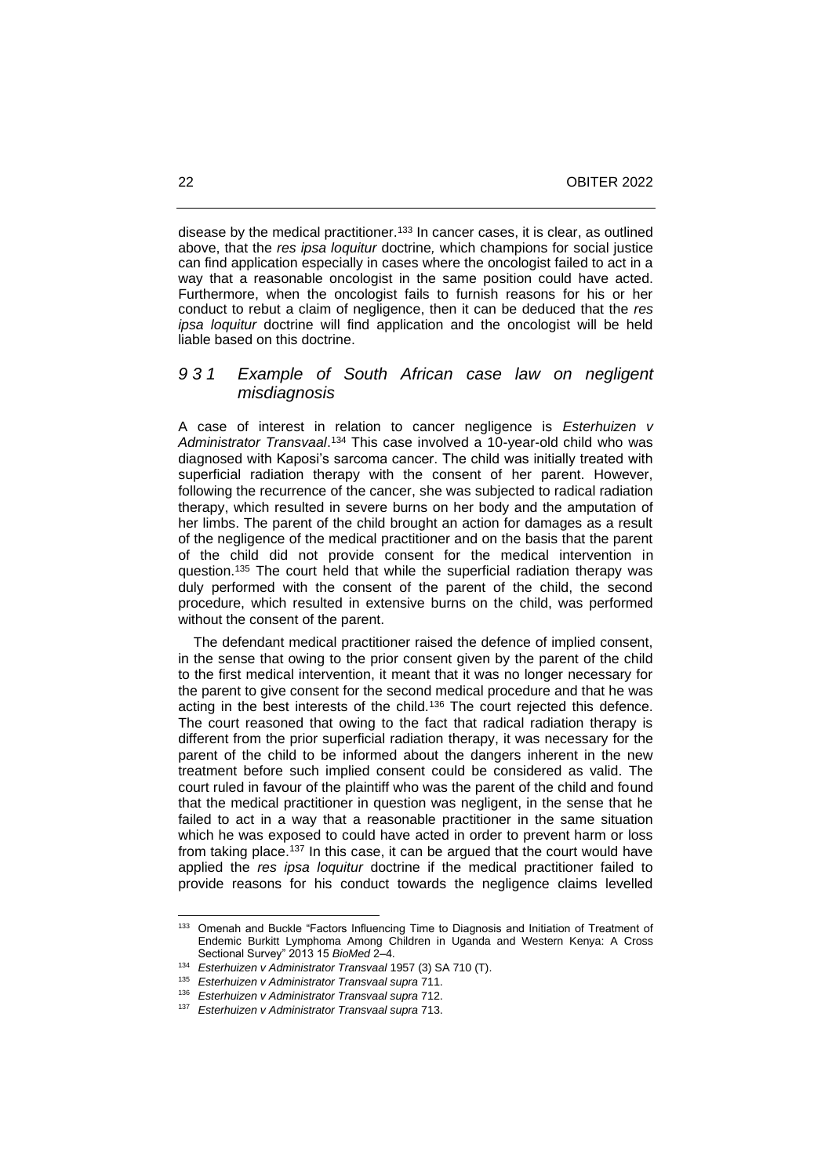disease by the medical practitioner.<sup>133</sup> In cancer cases, it is clear, as outlined above, that the *res ipsa loquitur* doctrine*,* which champions for social justice can find application especially in cases where the oncologist failed to act in a way that a reasonable oncologist in the same position could have acted. Furthermore, when the oncologist fails to furnish reasons for his or her conduct to rebut a claim of negligence, then it can be deduced that the *res ipsa loquitur* doctrine will find application and the oncologist will be held liable based on this doctrine.

# *9 3 1 Example of South African case law on negligent misdiagnosis*

A case of interest in relation to cancer negligence is *Esterhuizen v Administrator Transvaal*. <sup>134</sup> This case involved a 10-year-old child who was diagnosed with Kaposi's sarcoma cancer. The child was initially treated with superficial radiation therapy with the consent of her parent. However, following the recurrence of the cancer, she was subjected to radical radiation therapy, which resulted in severe burns on her body and the amputation of her limbs. The parent of the child brought an action for damages as a result of the negligence of the medical practitioner and on the basis that the parent of the child did not provide consent for the medical intervention in question.<sup>135</sup> The court held that while the superficial radiation therapy was duly performed with the consent of the parent of the child, the second procedure, which resulted in extensive burns on the child, was performed without the consent of the parent.

 The defendant medical practitioner raised the defence of implied consent, in the sense that owing to the prior consent given by the parent of the child to the first medical intervention, it meant that it was no longer necessary for the parent to give consent for the second medical procedure and that he was acting in the best interests of the child.<sup>136</sup> The court rejected this defence. The court reasoned that owing to the fact that radical radiation therapy is different from the prior superficial radiation therapy, it was necessary for the parent of the child to be informed about the dangers inherent in the new treatment before such implied consent could be considered as valid. The court ruled in favour of the plaintiff who was the parent of the child and found that the medical practitioner in question was negligent, in the sense that he failed to act in a way that a reasonable practitioner in the same situation which he was exposed to could have acted in order to prevent harm or loss from taking place.<sup>137</sup> In this case, it can be argued that the court would have applied the *res ipsa loquitur* doctrine if the medical practitioner failed to provide reasons for his conduct towards the negligence claims levelled

<sup>133</sup> Omenah and Buckle "Factors Influencing Time to Diagnosis and Initiation of Treatment of Endemic Burkitt Lymphoma Among Children in Uganda and Western Kenya: A Cross Sectional Survey" 2013 15 *BioMed* 2-4.

<sup>134</sup> *Esterhuizen v Administrator Transvaal* 1957 (3) SA 710 (T).

<sup>135</sup> *Esterhuizen v Administrator Transvaal supra* 711.

<sup>136</sup> *Esterhuizen v Administrator Transvaal supra* 712.

<sup>137</sup> *Esterhuizen v Administrator Transvaal supra* 713.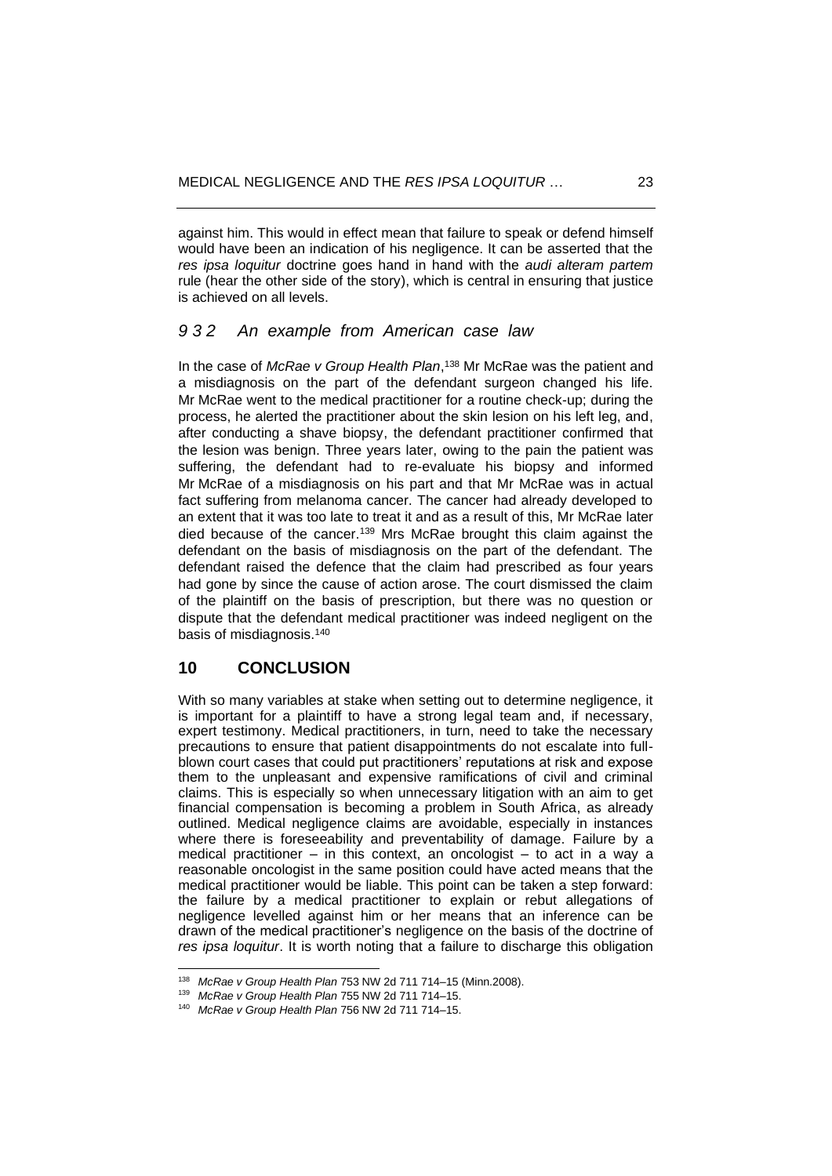against him. This would in effect mean that failure to speak or defend himself would have been an indication of his negligence. It can be asserted that the *res ipsa loquitur* doctrine goes hand in hand with the *audi alteram partem* rule (hear the other side of the story), which is central in ensuring that justice is achieved on all levels.

#### *9 3 2 An example from American case law*

In the case of *McRae v Group Health Plan*, <sup>138</sup> Mr McRae was the patient and a misdiagnosis on the part of the defendant surgeon changed his life. Mr McRae went to the medical practitioner for a routine check-up; during the process, he alerted the practitioner about the skin lesion on his left leg, and, after conducting a shave biopsy, the defendant practitioner confirmed that the lesion was benign. Three years later, owing to the pain the patient was suffering, the defendant had to re-evaluate his biopsy and informed Mr McRae of a misdiagnosis on his part and that Mr McRae was in actual fact suffering from melanoma cancer. The cancer had already developed to an extent that it was too late to treat it and as a result of this, Mr McRae later died because of the cancer.<sup>139</sup> Mrs McRae brought this claim against the defendant on the basis of misdiagnosis on the part of the defendant. The defendant raised the defence that the claim had prescribed as four years had gone by since the cause of action arose. The court dismissed the claim of the plaintiff on the basis of prescription, but there was no question or dispute that the defendant medical practitioner was indeed negligent on the basis of misdiagnosis.<sup>140</sup>

## **10 CONCLUSION**

With so many variables at stake when setting out to determine negligence, it is important for a plaintiff to have a strong legal team and, if necessary, expert testimony. Medical practitioners, in turn, need to take the necessary precautions to ensure that patient disappointments do not escalate into fullblown court cases that could put practitioners' reputations at risk and expose them to the unpleasant and expensive ramifications of civil and criminal claims. This is especially so when unnecessary litigation with an aim to get financial compensation is becoming a problem in South Africa, as already outlined. Medical negligence claims are avoidable, especially in instances where there is foreseeability and preventability of damage. Failure by a medical practitioner – in this context, an oncologist – to act in a way a reasonable oncologist in the same position could have acted means that the medical practitioner would be liable. This point can be taken a step forward: the failure by a medical practitioner to explain or rebut allegations of negligence levelled against him or her means that an inference can be drawn of the medical practitioner's negligence on the basis of the doctrine of *res ipsa loquitur*. It is worth noting that a failure to discharge this obligation

<sup>138</sup> *McRae v Group Health Plan* 753 NW 2d 711 714‒15 (Minn.2008).

<sup>&</sup>lt;sup>139</sup> McRae v Group Health Plan 755 NW 2d 711 714-15.

<sup>&</sup>lt;sup>140</sup> McRae v Group Health Plan 756 NW 2d 711 714-15.